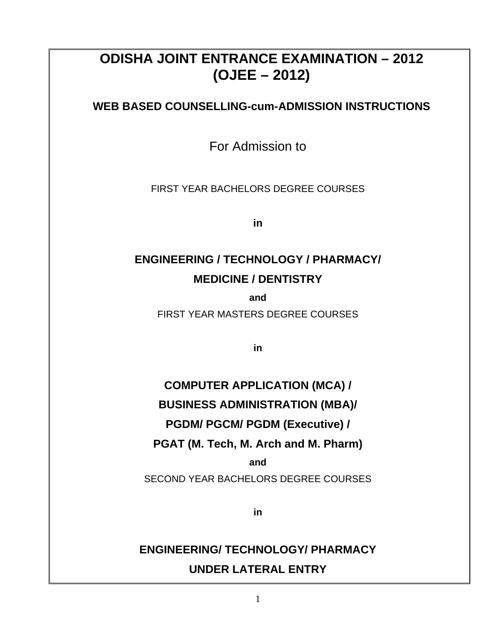### **ODISHA JOINT ENTRANCE EXAMINATION – 2012 (OJEE – 2012)**

**WEB BASED COUNSELLING-cum-ADMISSION INSTRUCTIONS** 

For Admission to

FIRST YEAR BACHELORS DEGREE COURSES

**in** 

### **ENGINEERING / TECHNOLOGY / PHARMACY/ MEDICINE / DENTISTRY**

**and** 

FIRST YEAR MASTERS DEGREE COURSES

**in**

## **COMPUTER APPLICATION (MCA) / BUSINESS ADMINISTRATION (MBA)/ PGDM/ PGCM/ PGDM (Executive) / PGAT (M. Tech, M. Arch and M. Pharm)**

**and** 

SECOND YEAR BACHELORS DEGREE COURSES

**in**

### **ENGINEERING/ TECHNOLOGY/ PHARMACY UNDER LATERAL ENTRY**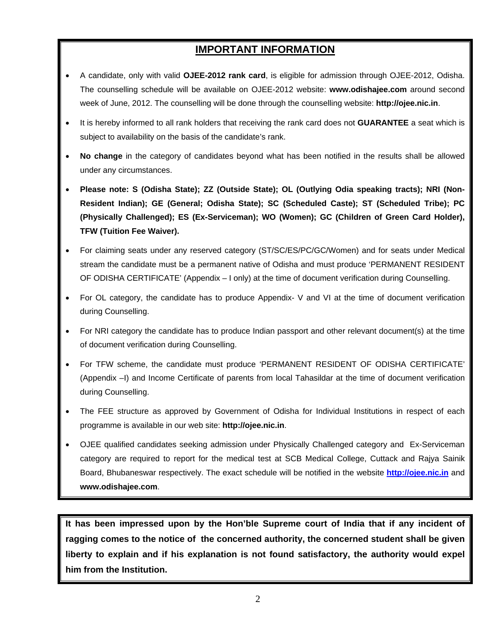### **IMPORTANT INFORMATION**

- A candidate, only with valid **OJEE-2012 rank card**, is eligible for admission through OJEE-2012, Odisha. The counselling schedule will be available on OJEE-2012 website: **www.odishajee.com** around second week of June, 2012. The counselling will be done through the counselling website: **http://ojee.nic.in**.
- It is hereby informed to all rank holders that receiving the rank card does not **GUARANTEE** a seat which is subject to availability on the basis of the candidate's rank.
- **No change** in the category of candidates beyond what has been notified in the results shall be allowed under any circumstances.
- **Please note: S (Odisha State); ZZ (Outside State); OL (Outlying Odia speaking tracts); NRI (Non-Resident Indian); GE (General; Odisha State); SC (Scheduled Caste); ST (Scheduled Tribe); PC (Physically Challenged); ES (Ex-Serviceman); WO (Women); GC (Children of Green Card Holder), TFW (Tuition Fee Waiver).**
- For claiming seats under any reserved category (ST/SC/ES/PC/GC/Women) and for seats under Medical stream the candidate must be a permanent native of Odisha and must produce 'PERMANENT RESIDENT OF ODISHA CERTIFICATE' (Appendix – I only) at the time of document verification during Counselling.
- For OL category, the candidate has to produce Appendix- V and VI at the time of document verification during Counselling.
- For NRI category the candidate has to produce Indian passport and other relevant document(s) at the time of document verification during Counselling.
- For TFW scheme, the candidate must produce 'PERMANENT RESIDENT OF ODISHA CERTIFICATE' (Appendix –I) and Income Certificate of parents from local Tahasildar at the time of document verification during Counselling.
- The FEE structure as approved by Government of Odisha for Individual Institutions in respect of each programme is available in our web site: **http://ojee.nic.in**.
- OJEE qualified candidates seeking admission under Physically Challenged category and Ex-Serviceman category are required to report for the medical test at SCB Medical College, Cuttack and Rajya Sainik Board, Bhubaneswar respectively. The exact schedule will be notified in the website **[http://ojee.nic.in](http://ojee.nic.in/)** and **www.odishajee.com**.

**It has been impressed upon by the Hon'ble Supreme court of India that if any incident of ragging comes to the notice of the concerned authority, the concerned student shall be given liberty to explain and if his explanation is not found satisfactory, the authority would expel him from the Institution.**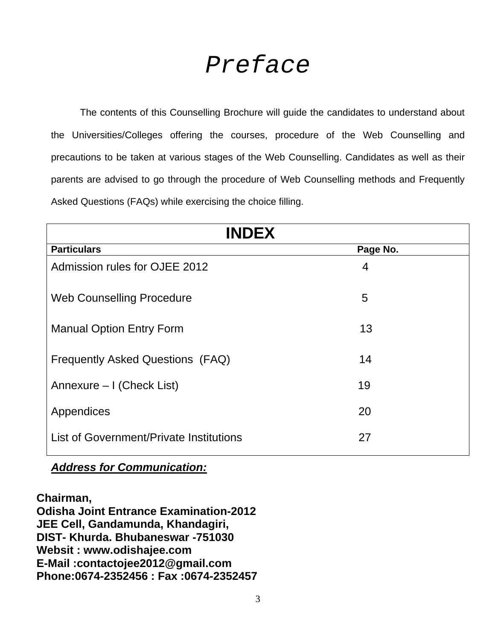# *Preface*

 The contents of this Counselling Brochure will guide the candidates to understand about the Universities/Colleges offering the courses, procedure of the Web Counselling and precautions to be taken at various stages of the Web Counselling. Candidates as well as their parents are advised to go through the procedure of Web Counselling methods and Frequently Asked Questions (FAQs) while exercising the choice filling.

| <b>INDEX</b>                            |          |  |  |
|-----------------------------------------|----------|--|--|
| <b>Particulars</b>                      | Page No. |  |  |
| Admission rules for OJEE 2012           | 4        |  |  |
| <b>Web Counselling Procedure</b>        | 5        |  |  |
| <b>Manual Option Entry Form</b>         | 13       |  |  |
| Frequently Asked Questions (FAQ)        | 14       |  |  |
| Annexure – I (Check List)               | 19       |  |  |
| Appendices                              | 20       |  |  |
| List of Government/Private Institutions | 27       |  |  |

### *Address for Communication:*

**Chairman, Odisha Joint Entrance Examination-2012 JEE Cell, Gandamunda, Khandagiri, DIST- Khurda. Bhubaneswar -751030 Websit : www.odishajee.com E-Mail :contactojee2012@gmail.com Phone:0674-2352456 : Fax :0674-2352457**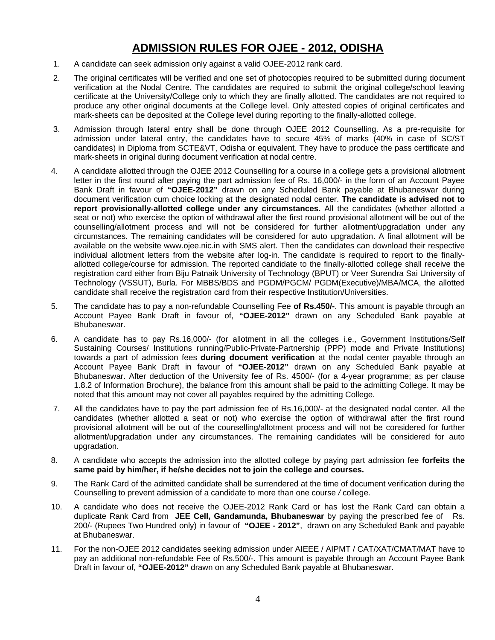### **ADMISSION RULES FOR OJEE - 2012, ODISHA**

- 1. A candidate can seek admission only against a valid OJEE-2012 rank card.
- 2. The original certificates will be verified and one set of photocopies required to be submitted during document verification at the Nodal Centre. The candidates are required to submit the original college/school leaving certificate at the University/College only to which they are finally allotted. The candidates are not required to produce any other original documents at the College level. Only attested copies of original certificates and mark-sheets can be deposited at the College level during reporting to the finally-allotted college.
- 3. Admission through lateral entry shall be done through OJEE 2012 Counselling. As a pre-requisite for admission under lateral entry, the candidates have to secure 45% of marks (40% in case of SC/ST candidates) in Diploma from SCTE&VT, Odisha or equivalent. They have to produce the pass certificate and mark-sheets in original during document verification at nodal centre.
- 4. A candidate allotted through the OJEE 2012 Counselling for a course in a college gets a provisional allotment letter in the first round after paying the part admission fee of Rs. 16,000/- in the form of an Account Payee Bank Draft in favour of **"OJEE-2012"** drawn on any Scheduled Bank payable at Bhubaneswar during document verification cum choice locking at the designated nodal center. **The candidate is advised not to report provisionally-allotted college under any circumstances.** All the candidates (whether allotted a seat or not) who exercise the option of withdrawal after the first round provisional allotment will be out of the counselling/allotment process and will not be considered for further allotment/upgradation under any circumstances. The remaining candidates will be considered for auto upgradation. A final allotment will be available on the website www.ojee.nic.in with SMS alert. Then the candidates can download their respective individual allotment letters from the website after log-in. The candidate is required to report to the finallyallotted college/course for admission. The reported candidate to the finally-allotted college shall receive the registration card either from Biju Patnaik University of Technology (BPUT) or Veer Surendra Sai University of Technology (VSSUT), Burla. For MBBS/BDS and PGDM/PGCM/ PGDM(Executive)/MBA/MCA, the allotted candidate shall receive the registration card from their respective Institution/Universities.
- 5. The candidate has to pay a non-refundable Counselling Fee **of Rs.450/-**. This amount is payable through an Account Payee Bank Draft in favour of, **"OJEE-2012"** drawn on any Scheduled Bank payable at Bhubaneswar.
- 6. A candidate has to pay Rs.16,000/- (for allotment in all the colleges i.e., Government Institutions/Self Sustaining Courses/ Institutions running/Public-Private-Partnership (PPP) mode and Private Institutions) towards a part of admission fees **during document verification** at the nodal center payable through an Account Payee Bank Draft in favour of **"OJEE-2012"** drawn on any Scheduled Bank payable at Bhubaneswar. After deduction of the University fee of Rs. 4500/- (for a 4-year programme; as per clause 1.8.2 of Information Brochure), the balance from this amount shall be paid to the admitting College. It may be noted that this amount may not cover all payables required by the admitting College.
- 7. All the candidates have to pay the part admission fee of Rs.16,000/- at the designated nodal center. All the candidates (whether allotted a seat or not) who exercise the option of withdrawal after the first round provisional allotment will be out of the counselling/allotment process and will not be considered for further allotment/upgradation under any circumstances. The remaining candidates will be considered for auto upgradation.
- 8. A candidate who accepts the admission into the allotted college by paying part admission fee **forfeits the same paid by him/her, if he/she decides not to join the college and courses.**
- 9. The Rank Card of the admitted candidate shall be surrendered at the time of document verification during the Counselling to prevent admission of a candidate to more than one course */* college.
- 10. A candidate who does not receive the OJEE-2012 Rank Card or has lost the Rank Card can obtain a duplicate Rank Card from **JEE Cell, Gandamunda, Bhubaneswar** by paying the prescribed fee of Rs. 200/- (Rupees Two Hundred only) in favour of **"OJEE - 2012"**, drawn on any Scheduled Bank and payable at Bhubaneswar.
- 11. For the non-OJEE 2012 candidates seeking admission under AIEEE / AIPMT / CAT/XAT/CMAT/MAT have to pay an additional non-refundable Fee of Rs.500/-. This amount is payable through an Account Payee Bank Draft in favour of, **"OJEE-2012"** drawn on any Scheduled Bank payable at Bhubaneswar.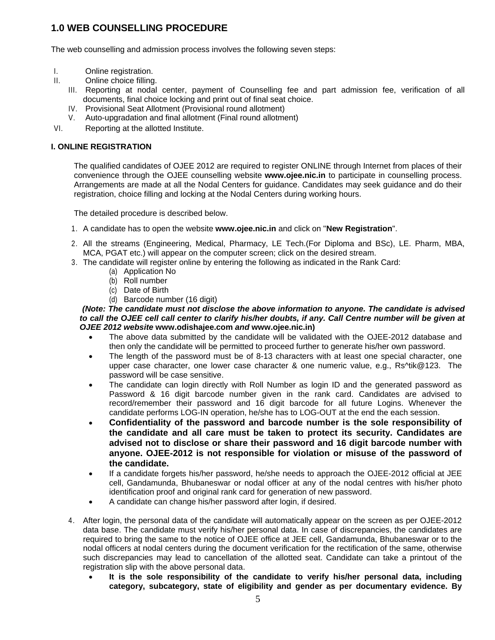### **1.0 WEB COUNSELLING PROCEDURE**

The web counselling and admission process involves the following seven steps:

- I. Online registration.
- II. Online choice filling.
	- III. Reporting at nodal center, payment of Counselling fee and part admission fee, verification of all documents, final choice locking and print out of final seat choice.
	- IV. Provisional Seat Allotment (Provisional round allotment)
	- V. Auto-upgradation and final allotment (Final round allotment)
- VI. Reporting at the allotted Institute.

### **I. ONLINE REGISTRATION**

The qualified candidates of OJEE 2012 are required to register ONLINE through Internet from places of their convenience through the OJEE counselling website **www.ojee.nic.in** to participate in counselling process. Arrangements are made at all the Nodal Centers for guidance. Candidates may seek guidance and do their registration, choice filling and locking at the Nodal Centers during working hours.

The detailed procedure is described below.

- 1. A candidate has to open the website **www.ojee.nic.in** and click on "**New Registration**".
- 2. All the streams (Engineering, Medical, Pharmacy, LE Tech.(For Diploma and BSc), LE. Pharm, MBA, MCA, PGAT etc.) will appear on the computer screen; click on the desired stream.
- 3. The candidate will register online by entering the following as indicated in the Rank Card:
	- (a) Application No
	- (b) Roll number
	- (c) Date of Birth
	- (d) Barcode number (16 digit)

### *(Note: The candidate must not disclose the above information to anyone. The candidate is advised*  to call the OJEE cell call center to clarify his/her doubts, if any. Call Centre number will be given at *OJEE 2012 website* **www.odishajee.com** *and* **www.ojee.nic.in)**

- The above data submitted by the candidate will be validated with the OJEE-2012 database and then only the candidate will be permitted to proceed further to generate his/her own password.
- The length of the password must be of 8-13 characters with at least one special character, one upper case character, one lower case character & one numeric value, e.g., Rs^tik@123. The password will be case sensitive.
- The candidate can login directly with Roll Number as login ID and the generated password as Password & 16 digit barcode number given in the rank card. Candidates are advised to record/remember their password and 16 digit barcode for all future Logins. Whenever the candidate performs LOG-IN operation, he/she has to LOG-OUT at the end the each session.
- **Confidentiality of the password and barcode number is the sole responsibility of the candidate and all care must be taken to protect its security. Candidates are advised not to disclose or share their password and 16 digit barcode number with anyone. OJEE-2012 is not responsible for violation or misuse of the password of the candidate.**
- If a candidate forgets his/her password, he/she needs to approach the OJEE-2012 official at JEE cell, Gandamunda, Bhubaneswar or nodal officer at any of the nodal centres with his/her photo identification proof and original rank card for generation of new password.
- A candidate can change his/her password after login, if desired.
- 4. After login, the personal data of the candidate will automatically appear on the screen as per OJEE-2012 data base. The candidate must verify his/her personal data. In case of discrepancies, the candidates are required to bring the same to the notice of OJEE office at JEE cell, Gandamunda, Bhubaneswar or to the nodal officers at nodal centers during the document verification for the rectification of the same, otherwise such discrepancies may lead to cancellation of the allotted seat. Candidate can take a printout of the registration slip with the above personal data.
	- **It is the sole responsibility of the candidate to verify his/her personal data, including category, subcategory, state of eligibility and gender as per documentary evidence. By**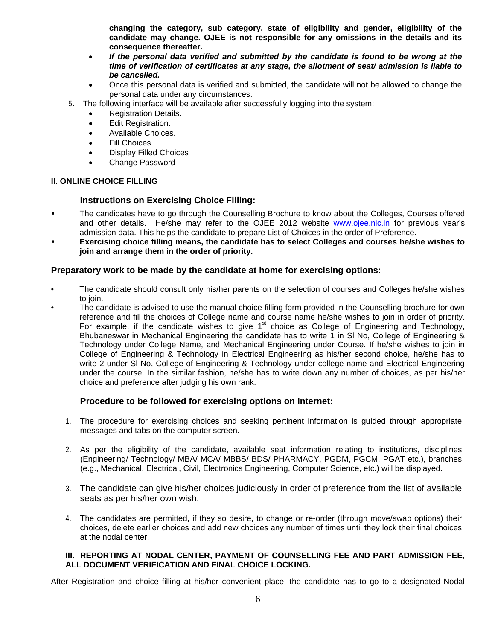**changing the category, sub category, state of eligibility and gender, eligibility of the candidate may change. OJEE is not responsible for any omissions in the details and its consequence thereafter.** 

- *If the personal data verified and submitted by the candidate is found to be wrong at the time of verification of certificates at any stage, the allotment of seat/ admission is liable to be cancelled.*
- Once this personal data is verified and submitted, the candidate will not be allowed to change the personal data under any circumstances.
- 5. The following interface will be available after successfully logging into the system:
	- Registration Details.
	- Edit Registration.
	- Available Choices.
	- **Fill Choices**
	- Display Filled Choices
	- Change Password

### **II. ONLINE CHOICE FILLING**

### **Instructions on Exercising Choice Filling:**

- The candidates have to go through the Counselling Brochure to know about the Colleges, Courses offered and other details. He/she may refer to the OJEE 2012 website [www.ojee.nic.in](http://www.ojee.nic.in/) for previous year's admission data. This helps the candidate to prepare List of Choices in the order of Preference.
- **Exercising choice filling means, the candidate has to select Colleges and courses he/she wishes to join and arrange them in the order of priority.**

### **Preparatory work to be made by the candidate at home for exercising options:**

- The candidate should consult only his/her parents on the selection of courses and Colleges he/she wishes to join.
- The candidate is advised to use the manual choice filling form provided in the Counselling brochure for own reference and fill the choices of College name and course name he/she wishes to join in order of priority. For example, if the candidate wishes to give  $1<sup>st</sup>$  choice as College of Engineering and Technology, Bhubaneswar in Mechanical Engineering the candidate has to write 1 in Sl No, College of Engineering & Technology under College Name, and Mechanical Engineering under Course. If he/she wishes to join in College of Engineering & Technology in Electrical Engineering as his/her second choice, he/she has to write 2 under Sl No, College of Engineering & Technology under college name and Electrical Engineering under the course. In the similar fashion, he/she has to write down any number of choices, as per his/her choice and preference after judging his own rank.

### **Procedure to be followed for exercising options on Internet:**

- 1. The procedure for exercising choices and seeking pertinent information is guided through appropriate messages and tabs on the computer screen.
- 2. As per the eligibility of the candidate, available seat information relating to institutions, disciplines (Engineering/ Technology/ MBA/ MCA/ MBBS/ BDS/ PHARMACY, PGDM, PGCM, PGAT etc.), branches (e.g., Mechanical, Electrical, Civil, Electronics Engineering, Computer Science, etc.) will be displayed.
- 3. The candidate can give his/her choices judiciously in order of preference from the list of available seats as per his/her own wish.
- 4. The candidates are permitted, if they so desire, to change or re-order (through move/swap options) their choices, delete earlier choices and add new choices any number of times until they lock their final choices at the nodal center.

### **III. REPORTING AT NODAL CENTER, PAYMENT OF COUNSELLING FEE AND PART ADMISSION FEE, ALL DOCUMENT VERIFICATION AND FINAL CHOICE LOCKING.**

After Registration and choice filling at his/her convenient place, the candidate has to go to a designated Nodal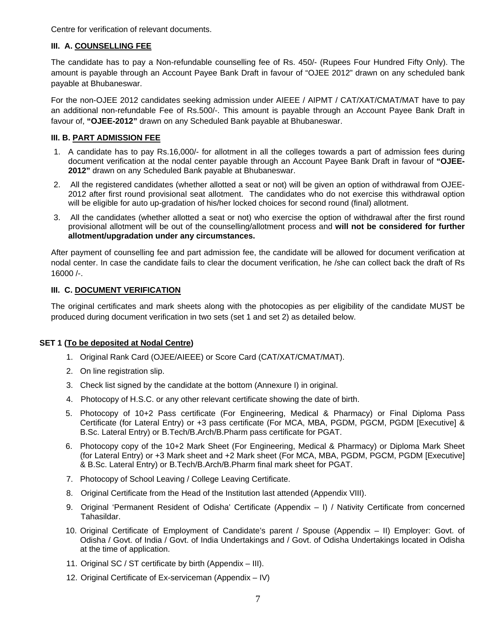Centre for verification of relevant documents.

### **III. A. COUNSELLING FEE**

The candidate has to pay a Non-refundable counselling fee of Rs. 450/- (Rupees Four Hundred Fifty Only). The amount is payable through an Account Payee Bank Draft in favour of "OJEE 2012" drawn on any scheduled bank payable at Bhubaneswar.

For the non-OJEE 2012 candidates seeking admission under AIEEE / AIPMT / CAT/XAT/CMAT/MAT have to pay an additional non-refundable Fee of Rs.500/-. This amount is payable through an Account Payee Bank Draft in favour of, **"OJEE-2012"** drawn on any Scheduled Bank payable at Bhubaneswar.

### **III. B. PART ADMISSION FEE**

- 1. A candidate has to pay Rs.16,000/- for allotment in all the colleges towards a part of admission fees during document verification at the nodal center payable through an Account Payee Bank Draft in favour of **"OJEE-2012"** drawn on any Scheduled Bank payable at Bhubaneswar.
- 2. All the registered candidates (whether allotted a seat or not) will be given an option of withdrawal from OJEE-2012 after first round provisional seat allotment. The candidates who do not exercise this withdrawal option will be eligible for auto up-gradation of his/her locked choices for second round (final) allotment.
- 3. All the candidates (whether allotted a seat or not) who exercise the option of withdrawal after the first round provisional allotment will be out of the counselling/allotment process and **will not be considered for further allotment/upgradation under any circumstances.**

After payment of counselling fee and part admission fee, the candidate will be allowed for document verification at nodal center. In case the candidate fails to clear the document verification, he /she can collect back the draft of Rs 16000 /-.

### **III. C. DOCUMENT VERIFICATION**

The original certificates and mark sheets along with the photocopies as per eligibility of the candidate MUST be produced during document verification in two sets (set 1 and set 2) as detailed below.

### **SET 1 (To be deposited at Nodal Centre)**

- 1. Original Rank Card (OJEE/AIEEE) or Score Card (CAT/XAT/CMAT/MAT).
- 2. On line registration slip.
- 3. Check list signed by the candidate at the bottom (Annexure I) in original.
- 4. Photocopy of H.S.C. or any other relevant certificate showing the date of birth.
- 5. Photocopy of 10+2 Pass certificate (For Engineering, Medical & Pharmacy) or Final Diploma Pass Certificate (for Lateral Entry) or +3 pass certificate (For MCA, MBA, PGDM, PGCM, PGDM [Executive] & B.Sc. Lateral Entry) or B.Tech/B.Arch/B.Pharm pass certificate for PGAT.
- 6. Photocopy copy of the 10+2 Mark Sheet (For Engineering, Medical & Pharmacy) or Diploma Mark Sheet (for Lateral Entry) or +3 Mark sheet and +2 Mark sheet (For MCA, MBA, PGDM, PGCM, PGDM [Executive] & B.Sc. Lateral Entry) or B.Tech/B.Arch/B.Pharm final mark sheet for PGAT.
- 7. Photocopy of School Leaving / College Leaving Certificate.
- 8. Original Certificate from the Head of the Institution last attended (Appendix VIII).
- 9. Original 'Permanent Resident of Odisha' Certificate (Appendix I) / Nativity Certificate from concerned Tahasildar.
- 10. Original Certificate of Employment of Candidate's parent / Spouse (Appendix II) Employer: Govt. of Odisha / Govt. of India / Govt. of India Undertakings and / Govt. of Odisha Undertakings located in Odisha at the time of application.
- 11. Original SC / ST certificate by birth (Appendix III).
- 12. Original Certificate of Ex-serviceman (Appendix IV)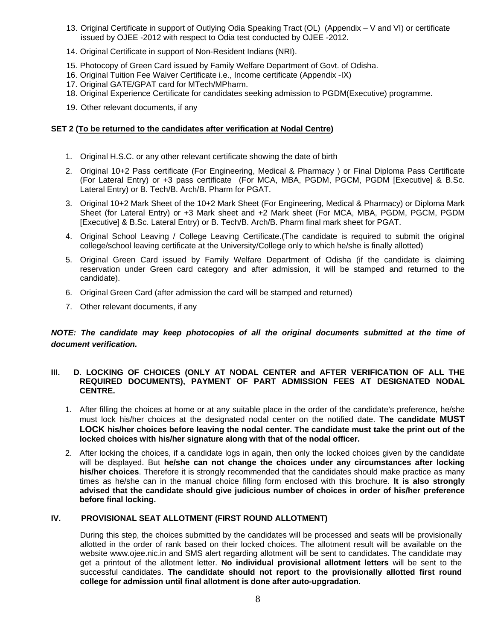- 13. Original Certificate in support of Outlying Odia Speaking Tract (OL) (Appendix V and VI) or certificate issued by OJEE -2012 with respect to Odia test conducted by OJEE -2012.
- 14. Original Certificate in support of Non-Resident Indians (NRI).
- 15. Photocopy of Green Card issued by Family Welfare Department of Govt. of Odisha.
- 16. Original Tuition Fee Waiver Certificate i.e., Income certificate (Appendix -IX)
- 17. Original GATE/GPAT card for MTech/MPharm.
- 18. Original Experience Certificate for candidates seeking admission to PGDM(Executive) programme.
- 19. Other relevant documents, if any

### **SET 2 (To be returned to the candidates after verification at Nodal Centre)**

- 1. Original H.S.C. or any other relevant certificate showing the date of birth
- 2. Original 10+2 Pass certificate (For Engineering, Medical & Pharmacy ) or Final Diploma Pass Certificate (For Lateral Entry) or +3 pass certificate (For MCA, MBA, PGDM, PGCM, PGDM [Executive] & B.Sc. Lateral Entry) or B. Tech/B. Arch/B. Pharm for PGAT.
- 3. Original 10+2 Mark Sheet of the 10+2 Mark Sheet (For Engineering, Medical & Pharmacy) or Diploma Mark Sheet (for Lateral Entry) or +3 Mark sheet and +2 Mark sheet (For MCA, MBA, PGDM, PGCM, PGDM [Executive] & B.Sc. Lateral Entry) or B. Tech/B. Arch/B. Pharm final mark sheet for PGAT.
- 4. Original School Leaving / College Leaving Certificate.(The candidate is required to submit the original college/school leaving certificate at the University/College only to which he/she is finally allotted)
- 5. Original Green Card issued by Family Welfare Department of Odisha (if the candidate is claiming reservation under Green card category and after admission, it will be stamped and returned to the candidate).
- 6. Original Green Card (after admission the card will be stamped and returned)
- 7. Other relevant documents, if any

### *NOTE: The candidate may keep photocopies of all the original documents submitted at the time of document verification.*

### **III.** D. LOCKING OF CHOICES (ONLY AT NODAL CENTER and AFTER VERIFICATION OF ALL THE **REQUIRED DOCUMENTS), PAYMENT OF PART ADMISSION FEES AT DESIGNATED NODAL CENTRE.**

- 1. After filling the choices at home or at any suitable place in the order of the candidate's preference, he/she must lock his/her choices at the designated nodal center on the notified date. **The candidate MUST LOCK his/her choices before leaving the nodal center. The candidate must take the print out of the locked choices with his/her signature along with that of the nodal officer.**
- 2. After locking the choices, if a candidate logs in again, then only the locked choices given by the candidate will be displayed. But **he/she can not change the choices under any circumstances after locking his/her choices**. Therefore it is strongly recommended that the candidates should make practice as many times as he/she can in the manual choice filling form enclosed with this brochure. **It is also strongly advised that the candidate should give judicious number of choices in order of his/her preference before final locking.**

### **IV. PROVISIONAL SEAT ALLOTMENT (FIRST ROUND ALLOTMENT)**

During this step, the choices submitted by the candidates will be processed and seats will be provisionally allotted in the order of rank based on their locked choices. The allotment result will be available on the website www.ojee.nic.in and SMS alert regarding allotment will be sent to candidates. The candidate may get a printout of the allotment letter. **No individual provisional allotment letters** will be sent to the successful candidates. **The candidate should not report to the provisionally allotted first round college for admission until final allotment is done after auto-upgradation.**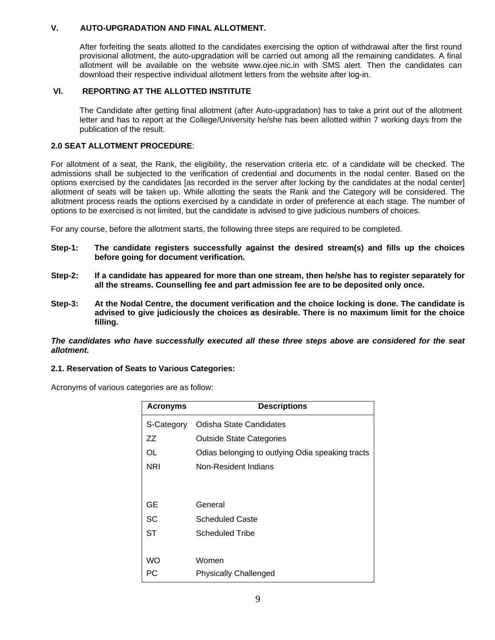### **V. AUTO-UPGRADATION AND FINAL ALLOTMENT.**

After forfeiting the seats allotted to the candidates exercising the option of withdrawal after the first round provisional allotment, the auto-upgradation will be carried out among all the remaining candidates. A final allotment will be available on the website www.ojee.nic.in with SMS alert. Then the candidates can download their respective individual allotment letters from the website after log-in.

### **VI. REPORTING AT THE ALLOTTED INSTITUTE**

 The Candidate after getting final allotment (after Auto-upgradation) has to take a print out of the allotment letter and has to report at the College/University he/she has been allotted within 7 working days from the publication of the result.

### **2.0 SEAT ALLOTMENT PROCEDURE**:

For allotment of a seat, the Rank, the eligibility, the reservation criteria etc. of a candidate will be checked. The admissions shall be subjected to the verification of credential and documents in the nodal center. Based on the options exercised by the candidates [as recorded in the server after locking by the candidates at the nodal center] allotment of seats will be taken up. While allotting the seats the Rank and the Category will be considered. The allotment process reads the options exercised by a candidate in order of preference at each stage. The number of options to be exercised is not limited, but the candidate is advised to give judicious numbers of choices.

For any course, before the allotment starts, the following three steps are required to be completed.

- **Step-1: The candidate registers successfully against the desired stream(s) and fills up the choices before going for document verification.**
- **Step-2: If a candidate has appeared for more than one stream, then he/she has to register separately for all the streams. Counselling fee and part admission fee are to be deposited only once.**
- **Step-3: At the Nodal Centre, the document verification and the choice locking is done. The candidate is advised to give judiciously the choices as desirable. There is no maximum limit for the choice filling.**

*The candidates who have successfully executed all these three steps above are considered for the seat allotment.* 

### **2.1. Reservation of Seats to Various Categories:**

Acronyms of various categories are as follow:

| <b>Acronyms</b> | <b>Descriptions</b>                              |  |  |
|-----------------|--------------------------------------------------|--|--|
| S-Category      | Odisha State Candidates                          |  |  |
| ZZ              | <b>Outside State Categories</b>                  |  |  |
| OL              | Odias belonging to outlying Odia speaking tracts |  |  |
| NRI             | Non-Resident Indians                             |  |  |
|                 |                                                  |  |  |
|                 |                                                  |  |  |
| GЕ              | General                                          |  |  |
| SC              | <b>Scheduled Caste</b>                           |  |  |
| ST              | Scheduled Tribe                                  |  |  |
|                 |                                                  |  |  |
| WO              | Women                                            |  |  |
| РC              | <b>Physically Challenged</b>                     |  |  |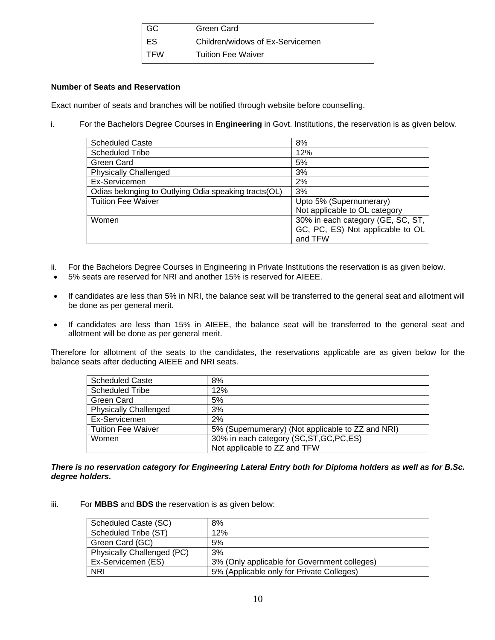| $\overline{\phantom{a}}$ GC | Green Card                       |
|-----------------------------|----------------------------------|
| ∣ ES                        | Children/widows of Ex-Servicemen |
| I TFW                       | <b>Tuition Fee Waiver</b>        |

### **Number of Seats and Reservation**

Exact number of seats and branches will be notified through website before counselling.

i. For the Bachelors Degree Courses in **Engineering** in Govt. Institutions, the reservation is as given below.

| 8%                                |
|-----------------------------------|
| 12%                               |
| 5%                                |
| 3%                                |
| 2%                                |
| 3%                                |
| Upto 5% (Supernumerary)           |
| Not applicable to OL category     |
| 30% in each category (GE, SC, ST, |
| GC, PC, ES) Not applicable to OL  |
| and TFW                           |
|                                   |

- ii. For the Bachelors Degree Courses in Engineering in Private Institutions the reservation is as given below.
- 5% seats are reserved for NRI and another 15% is reserved for AIEEE.
- If candidates are less than 5% in NRI, the balance seat will be transferred to the general seat and allotment will be done as per general merit.
- If candidates are less than 15% in AIEEE, the balance seat will be transferred to the general seat and allotment will be done as per general merit.

Therefore for allotment of the seats to the candidates, the reservations applicable are as given below for the balance seats after deducting AIEEE and NRI seats.

| <b>Scheduled Caste</b>       | 8%                                                |
|------------------------------|---------------------------------------------------|
| <b>Scheduled Tribe</b>       | 12%                                               |
| Green Card                   | 5%                                                |
| <b>Physically Challenged</b> | 3%                                                |
| Ex-Servicemen                | 2%                                                |
| <b>Tuition Fee Waiver</b>    | 5% (Supernumerary) (Not applicable to ZZ and NRI) |
| Women                        | 30% in each category (SC, ST, GC, PC, ES)         |
|                              | Not applicable to ZZ and TFW                      |

*There is no reservation category for Engineering Lateral Entry both for Diploma holders as well as for B.Sc. degree holders.* 

iii. For **MBBS** and **BDS** the reservation is as given below:

| Scheduled Caste (SC)       | 8%                                           |
|----------------------------|----------------------------------------------|
| Scheduled Tribe (ST)       | 12%                                          |
| Green Card (GC)            | 5%                                           |
| Physically Challenged (PC) | 3%                                           |
| Ex-Servicemen (ES)         | 3% (Only applicable for Government colleges) |
| <b>NRI</b>                 | 5% (Applicable only for Private Colleges)    |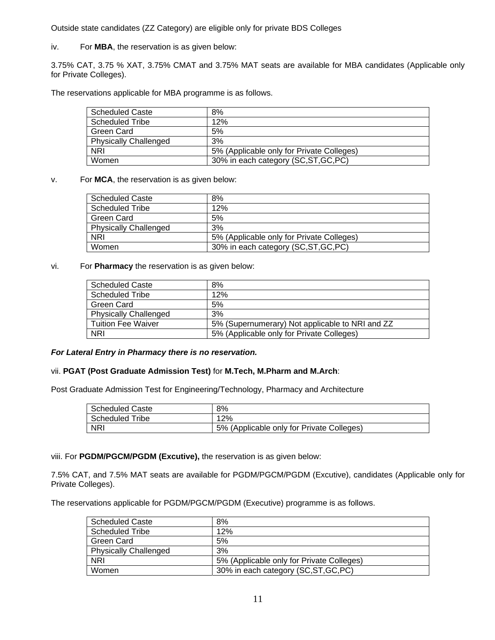Outside state candidates (ZZ Category) are eligible only for private BDS Colleges

iv. For **MBA**, the reservation is as given below:

3.75% CAT, 3.75 % XAT, 3.75% CMAT and 3.75% MAT seats are available for MBA candidates (Applicable only for Private Colleges).

The reservations applicable for MBA programme is as follows.

| <b>Scheduled Caste</b>       | 8%                                        |
|------------------------------|-------------------------------------------|
| <b>Scheduled Tribe</b>       | 12%                                       |
| Green Card                   | 5%                                        |
| <b>Physically Challenged</b> | 3%                                        |
| <b>NRI</b>                   | 5% (Applicable only for Private Colleges) |
| Women                        | 30% in each category (SC, ST, GC, PC)     |

### v. For **MCA**, the reservation is as given below:

| <b>Scheduled Caste</b>       | 8%                                        |
|------------------------------|-------------------------------------------|
| <b>Scheduled Tribe</b>       | 12%                                       |
| <b>Green Card</b>            | 5%                                        |
| <b>Physically Challenged</b> | 3%                                        |
| <b>NRI</b>                   | 5% (Applicable only for Private Colleges) |
| Women                        | 30% in each category (SC, ST, GC, PC)     |

#### vi. For **Pharmacy** the reservation is as given below:

| <b>Scheduled Caste</b>       | 8%                                              |
|------------------------------|-------------------------------------------------|
| <b>Scheduled Tribe</b>       | 12%                                             |
| Green Card                   | 5%                                              |
| <b>Physically Challenged</b> | 3%                                              |
| <b>Tuition Fee Waiver</b>    | 5% (Supernumerary) Not applicable to NRI and ZZ |
| <b>NRI</b>                   | 5% (Applicable only for Private Colleges)       |

#### *For Lateral Entry in Pharmacy there is no reservation.*

### vii. **PGAT (Post Graduate Admission Test)** for **M.Tech, M.Pharm and M.Arch**:

Post Graduate Admission Test for Engineering/Technology, Pharmacy and Architecture

| <b>Scheduled Caste</b> | 8%                                        |
|------------------------|-------------------------------------------|
| Scheduled Tribe        | 12%                                       |
| <b>NRI</b>             | 5% (Applicable only for Private Colleges) |

viii. For **PGDM/PGCM/PGDM (Excutive),** the reservation is as given below:

7.5% CAT, and 7.5% MAT seats are available for PGDM/PGCM/PGDM (Excutive), candidates (Applicable only for Private Colleges).

The reservations applicable for PGDM/PGCM/PGDM (Executive) programme is as follows.

| <b>Scheduled Caste</b>       | 8%                                        |
|------------------------------|-------------------------------------------|
| <b>Scheduled Tribe</b>       | 12%                                       |
| Green Card                   | 5%                                        |
| <b>Physically Challenged</b> | 3%                                        |
| <b>NRI</b>                   | 5% (Applicable only for Private Colleges) |
| Women                        | 30% in each category (SC, ST, GC, PC)     |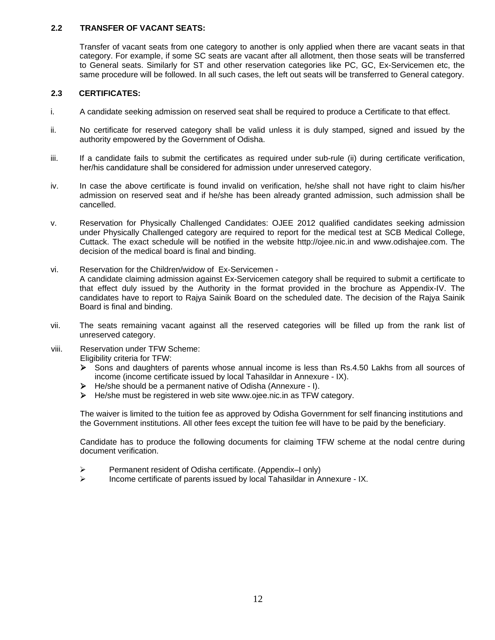### **2.2 TRANSFER OF VACANT SEATS:**

Transfer of vacant seats from one category to another is only applied when there are vacant seats in that category. For example, if some SC seats are vacant after all allotment, then those seats will be transferred to General seats. Similarly for ST and other reservation categories like PC, GC, Ex-Servicemen etc, the same procedure will be followed. In all such cases, the left out seats will be transferred to General category.

### **2.3 CERTIFICATES:**

- i. A candidate seeking admission on reserved seat shall be required to produce a Certificate to that effect.
- ii. No certificate for reserved category shall be valid unless it is duly stamped, signed and issued by the authority empowered by the Government of Odisha.
- iii. If a candidate fails to submit the certificates as required under sub-rule (ii) during certificate verification, her/his candidature shall be considered for admission under unreserved category.
- iv. In case the above certificate is found invalid on verification, he/she shall not have right to claim his/her admission on reserved seat and if he/she has been already granted admission, such admission shall be cancelled.
- v. Reservation for Physically Challenged Candidates: OJEE 2012 qualified candidates seeking admission under Physically Challenged category are required to report for the medical test at SCB Medical College, Cuttack. The exact schedule will be notified in the website http://ojee.nic.in and www.odishajee.com. The decision of the medical board is final and binding.
- vi. Reservation for the Children/widow of Ex-Servicemen A candidate claiming admission against Ex-Servicemen category shall be required to submit a certificate to that effect duly issued by the Authority in the format provided in the brochure as Appendix-IV. The candidates have to report to Rajya Sainik Board on the scheduled date. The decision of the Rajya Sainik Board is final and binding.
- vii. The seats remaining vacant against all the reserved categories will be filled up from the rank list of unreserved category.
- viii. Reservation under TFW Scheme: Eligibility criteria for TFW:
	- ¾ Sons and daughters of parents whose annual income is less than Rs.4.50 Lakhs from all sources of income (income certificate issued by local Tahasildar in Annexure - IX).
	- He/she should be a permanent native of Odisha (Annexure I).
	- ¾ He/she must be registered in web site www.ojee.nic.in as TFW category.

The waiver is limited to the tuition fee as approved by Odisha Government for self financing institutions and the Government institutions. All other fees except the tuition fee will have to be paid by the beneficiary.

Candidate has to produce the following documents for claiming TFW scheme at the nodal centre during document verification.

- Permanent resident of Odisha certificate. (Appendix–I only)
- $\triangleright$  Income certificate of parents issued by local Tahasildar in Annexure IX.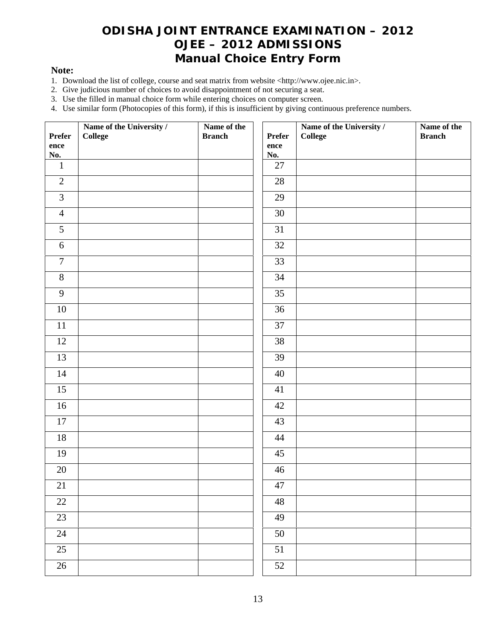### **ODISHA JOINT ENTRANCE EXAMINATION – 2012 OJEE – 2012 ADMISSIONS Manual Choice Entry Form**

### **Note:**

- 1. Download the list of college, course and seat matrix from website <http://www.ojee.nic.in>.
- 2. Give judicious number of choices to avoid disappointment of not securing a seat.
- 3. Use the filled in manual choice form while entering choices on computer screen.
- 4. Use similar form (Photocopies of this form), if this is insufficient by giving continuous preference numbers.

| Prefer          | Name of the University /<br>College | Name of the<br><b>Branch</b> | <b>Prefer</b>   | Name of the University /<br>College | Name of the<br><b>Branch</b> |
|-----------------|-------------------------------------|------------------------------|-----------------|-------------------------------------|------------------------------|
| ence<br>No.     |                                     |                              | ence<br>No.     |                                     |                              |
| $\mathbf{1}$    |                                     |                              | $27\,$          |                                     |                              |
| $\overline{2}$  |                                     |                              | $28\,$          |                                     |                              |
| 3               |                                     |                              | 29              |                                     |                              |
| $\overline{4}$  |                                     |                              | $30\,$          |                                     |                              |
| 5               |                                     |                              | 31              |                                     |                              |
| $\sqrt{6}$      |                                     |                              | 32              |                                     |                              |
| $\overline{7}$  |                                     |                              | $\overline{33}$ |                                     |                              |
| $8\,$           |                                     |                              | 34              |                                     |                              |
| 9               |                                     |                              | 35              |                                     |                              |
| $10\,$          |                                     |                              | $\overline{36}$ |                                     |                              |
| $11\,$          |                                     |                              | 37              |                                     |                              |
| 12              |                                     |                              | 38              |                                     |                              |
| 13              |                                     |                              | 39              |                                     |                              |
| 14              |                                     |                              | $40\,$          |                                     |                              |
| 15              |                                     |                              | 41              |                                     |                              |
| 16              |                                     |                              | $\overline{42}$ |                                     |                              |
| $17\,$          |                                     |                              | 43              |                                     |                              |
| $18\,$          |                                     |                              | 44              |                                     |                              |
| 19              |                                     |                              | 45              |                                     |                              |
| 20              |                                     |                              | 46              |                                     |                              |
| $21\,$          |                                     |                              | 47              |                                     |                              |
| 22              |                                     |                              | 48              |                                     |                              |
| 23              |                                     |                              | 49              |                                     |                              |
| 24              |                                     |                              | 50              |                                     |                              |
| 25              |                                     |                              | 51              |                                     |                              |
| $\overline{26}$ |                                     |                              | $\overline{52}$ |                                     |                              |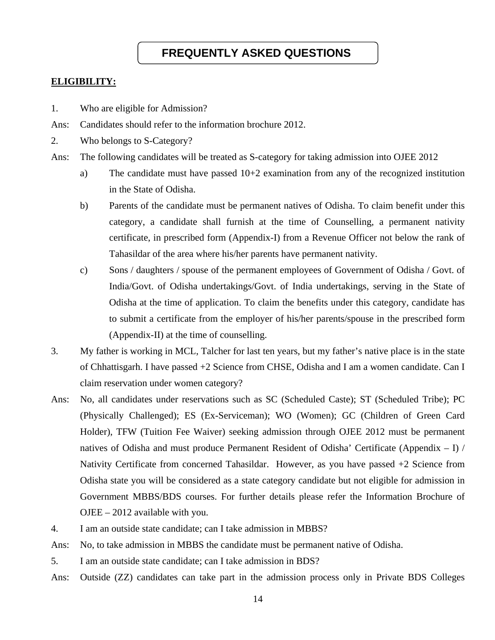### **FREQUENTLY ASKED QUESTIONS**

### **ELIGIBILITY:**

- 1. Who are eligible for Admission?
- Ans: Candidates should refer to the information brochure 2012.
- 2. Who belongs to S-Category?
- Ans: The following candidates will be treated as S-category for taking admission into OJEE 2012
	- a) The candidate must have passed 10+2 examination from any of the recognized institution in the State of Odisha.
	- b) Parents of the candidate must be permanent natives of Odisha. To claim benefit under this category, a candidate shall furnish at the time of Counselling, a permanent nativity certificate, in prescribed form (Appendix-I) from a Revenue Officer not below the rank of Tahasildar of the area where his/her parents have permanent nativity.
	- c) Sons / daughters / spouse of the permanent employees of Government of Odisha / Govt. of India/Govt. of Odisha undertakings/Govt. of India undertakings, serving in the State of Odisha at the time of application. To claim the benefits under this category, candidate has to submit a certificate from the employer of his/her parents/spouse in the prescribed form (Appendix-II) at the time of counselling.
- 3. My father is working in MCL, Talcher for last ten years, but my father's native place is in the state of Chhattisgarh. I have passed +2 Science from CHSE, Odisha and I am a women candidate. Can I claim reservation under women category?
- Ans: No, all candidates under reservations such as SC (Scheduled Caste); ST (Scheduled Tribe); PC (Physically Challenged); ES (Ex-Serviceman); WO (Women); GC (Children of Green Card Holder), TFW (Tuition Fee Waiver) seeking admission through OJEE 2012 must be permanent natives of Odisha and must produce Permanent Resident of Odisha' Certificate (Appendix – I) / Nativity Certificate from concerned Tahasildar. However, as you have passed +2 Science from Odisha state you will be considered as a state category candidate but not eligible for admission in Government MBBS/BDS courses. For further details please refer the Information Brochure of OJEE – 2012 available with you.
- 4. I am an outside state candidate; can I take admission in MBBS?
- Ans: No, to take admission in MBBS the candidate must be permanent native of Odisha.
- 5. I am an outside state candidate; can I take admission in BDS?
- Ans: Outside (ZZ) candidates can take part in the admission process only in Private BDS Colleges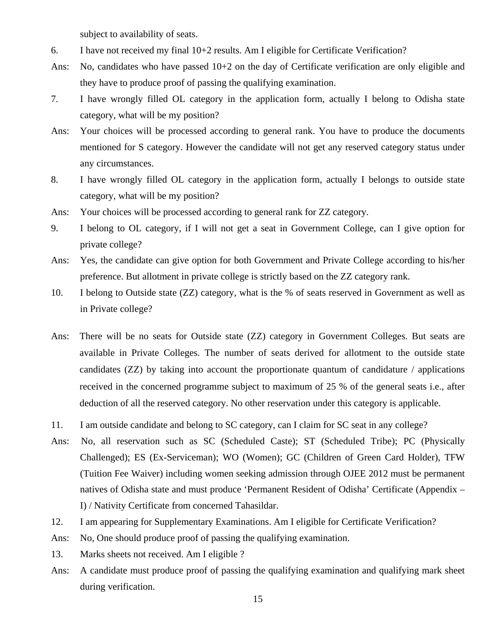subject to availability of seats.

- 6. I have not received my final 10+2 results. Am I eligible for Certificate Verification?
- Ans: No, candidates who have passed  $10+2$  on the day of Certificate verification are only eligible and they have to produce proof of passing the qualifying examination.
- 7. I have wrongly filled OL category in the application form, actually I belong to Odisha state category, what will be my position?
- Ans: Your choices will be processed according to general rank. You have to produce the documents mentioned for S category. However the candidate will not get any reserved category status under any circumstances.
- 8. I have wrongly filled OL category in the application form, actually I belongs to outside state category, what will be my position?
- Ans: Your choices will be processed according to general rank for ZZ category.
- 9. I belong to OL category, if I will not get a seat in Government College, can I give option for private college?
- Ans: Yes, the candidate can give option for both Government and Private College according to his/her preference. But allotment in private college is strictly based on the ZZ category rank.
- 10. I belong to Outside state (ZZ) category, what is the % of seats reserved in Government as well as in Private college?
- Ans: There will be no seats for Outside state (ZZ) category in Government Colleges. But seats are available in Private Colleges. The number of seats derived for allotment to the outside state candidates (ZZ) by taking into account the proportionate quantum of candidature / applications received in the concerned programme subject to maximum of 25 % of the general seats i.e., after deduction of all the reserved category. No other reservation under this category is applicable.
- 11. I am outside candidate and belong to SC category, can I claim for SC seat in any college?
- Ans: No, all reservation such as SC (Scheduled Caste); ST (Scheduled Tribe); PC (Physically Challenged); ES (Ex-Serviceman); WO (Women); GC (Children of Green Card Holder), TFW (Tuition Fee Waiver) including women seeking admission through OJEE 2012 must be permanent natives of Odisha state and must produce 'Permanent Resident of Odisha' Certificate (Appendix – I) / Nativity Certificate from concerned Tahasildar.
- 12. I am appearing for Supplementary Examinations. Am I eligible for Certificate Verification?
- Ans: No, One should produce proof of passing the qualifying examination.
- 13. Marks sheets not received. Am I eligible ?
- Ans: A candidate must produce proof of passing the qualifying examination and qualifying mark sheet during verification.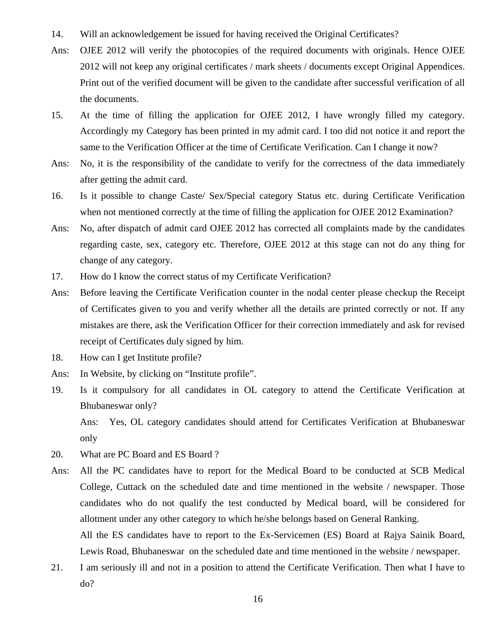- 14. Will an acknowledgement be issued for having received the Original Certificates?
- Ans: OJEE 2012 will verify the photocopies of the required documents with originals. Hence OJEE 2012 will not keep any original certificates / mark sheets / documents except Original Appendices. Print out of the verified document will be given to the candidate after successful verification of all the documents.
- 15. At the time of filling the application for OJEE 2012, I have wrongly filled my category. Accordingly my Category has been printed in my admit card. I too did not notice it and report the same to the Verification Officer at the time of Certificate Verification. Can I change it now?
- Ans: No, it is the responsibility of the candidate to verify for the correctness of the data immediately after getting the admit card.
- 16. Is it possible to change Caste/ Sex/Special category Status etc. during Certificate Verification when not mentioned correctly at the time of filling the application for OJEE 2012 Examination?
- Ans: No, after dispatch of admit card OJEE 2012 has corrected all complaints made by the candidates regarding caste, sex, category etc. Therefore, OJEE 2012 at this stage can not do any thing for change of any category.
- 17. How do I know the correct status of my Certificate Verification?
- Ans: Before leaving the Certificate Verification counter in the nodal center please checkup the Receipt of Certificates given to you and verify whether all the details are printed correctly or not. If any mistakes are there, ask the Verification Officer for their correction immediately and ask for revised receipt of Certificates duly signed by him.
- 18. How can I get Institute profile?
- Ans: In Website, by clicking on "Institute profile".
- 19. Is it compulsory for all candidates in OL category to attend the Certificate Verification at Bhubaneswar only?

Ans: Yes, OL category candidates should attend for Certificates Verification at Bhubaneswar only

- 20. What are PC Board and ES Board ?
- Ans: All the PC candidates have to report for the Medical Board to be conducted at SCB Medical College, Cuttack on the scheduled date and time mentioned in the website / newspaper. Those candidates who do not qualify the test conducted by Medical board, will be considered for allotment under any other category to which he/she belongs based on General Ranking. All the ES candidates have to report to the Ex-Servicemen (ES) Board at Rajya Sainik Board,

Lewis Road, Bhubaneswar on the scheduled date and time mentioned in the website / newspaper.

21. I am seriously ill and not in a position to attend the Certificate Verification. Then what I have to do?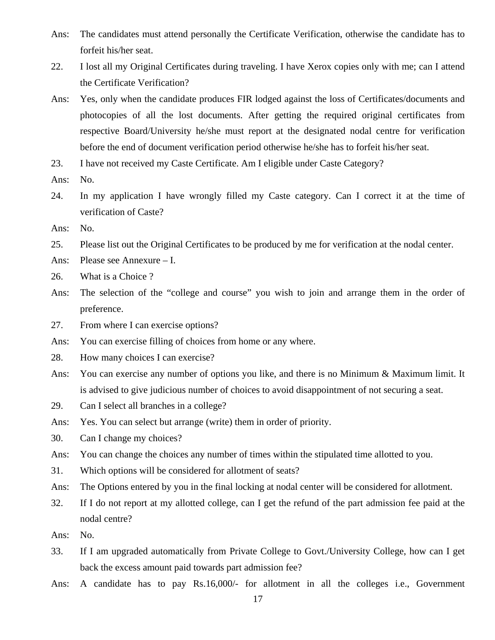- Ans: The candidates must attend personally the Certificate Verification, otherwise the candidate has to forfeit his/her seat.
- 22. I lost all my Original Certificates during traveling. I have Xerox copies only with me; can I attend the Certificate Verification?
- Ans: Yes, only when the candidate produces FIR lodged against the loss of Certificates/documents and photocopies of all the lost documents. After getting the required original certificates from respective Board/University he/she must report at the designated nodal centre for verification before the end of document verification period otherwise he/she has to forfeit his/her seat.
- 23. I have not received my Caste Certificate. Am I eligible under Caste Category?
- Ans: No.
- 24. In my application I have wrongly filled my Caste category. Can I correct it at the time of verification of Caste?
- Ans: No.
- 25. Please list out the Original Certificates to be produced by me for verification at the nodal center.
- Ans: Please see Annexure I.
- 26. What is a Choice ?
- Ans: The selection of the "college and course" you wish to join and arrange them in the order of preference.
- 27. From where I can exercise options?
- Ans: You can exercise filling of choices from home or any where.
- 28. How many choices I can exercise?
- Ans: You can exercise any number of options you like, and there is no Minimum & Maximum limit. It is advised to give judicious number of choices to avoid disappointment of not securing a seat.
- 29. Can I select all branches in a college?
- Ans: Yes. You can select but arrange (write) them in order of priority.
- 30. Can I change my choices?
- Ans: You can change the choices any number of times within the stipulated time allotted to you.
- 31. Which options will be considered for allotment of seats?
- Ans: The Options entered by you in the final locking at nodal center will be considered for allotment.
- 32. If I do not report at my allotted college, can I get the refund of the part admission fee paid at the nodal centre?
- Ans: No.
- 33. If I am upgraded automatically from Private College to Govt./University College, how can I get back the excess amount paid towards part admission fee?
- Ans: A candidate has to pay Rs.16,000/- for allotment in all the colleges i.e., Government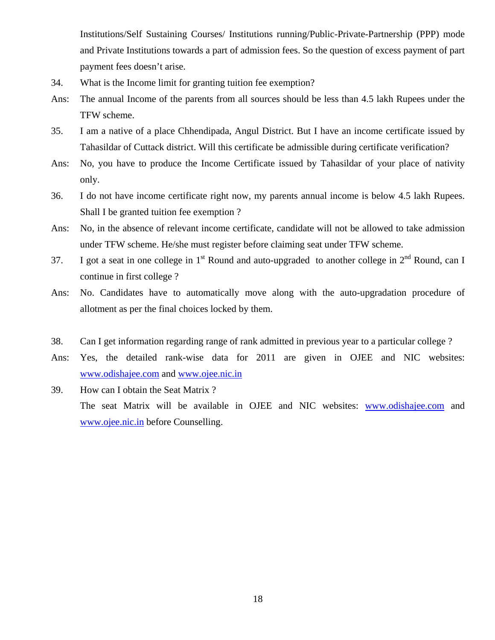Institutions/Self Sustaining Courses/ Institutions running/Public-Private-Partnership (PPP) mode and Private Institutions towards a part of admission fees. So the question of excess payment of part payment fees doesn't arise.

- 34. What is the Income limit for granting tuition fee exemption?
- Ans: The annual Income of the parents from all sources should be less than 4.5 lakh Rupees under the TFW scheme.
- 35. I am a native of a place Chhendipada, Angul District. But I have an income certificate issued by Tahasildar of Cuttack district. Will this certificate be admissible during certificate verification?
- Ans: No, you have to produce the Income Certificate issued by Tahasildar of your place of nativity only.
- 36. I do not have income certificate right now, my parents annual income is below 4.5 lakh Rupees. Shall I be granted tuition fee exemption ?
- Ans: No, in the absence of relevant income certificate, candidate will not be allowed to take admission under TFW scheme. He/she must register before claiming seat under TFW scheme.
- 37. I got a seat in one college in  $1<sup>st</sup>$  Round and auto-upgraded to another college in  $2<sup>nd</sup>$  Round, can I continue in first college ?
- Ans: No. Candidates have to automatically move along with the auto-upgradation procedure of allotment as per the final choices locked by them.
- 38. Can I get information regarding range of rank admitted in previous year to a particular college ?
- Ans: Yes, the detailed rank-wise data for 2011 are given in OJEE and NIC websites: [www.odishajee.com](http://www.odishajee.com/) and [www.ojee.nic.in](http://www.ojee.nic.in/)
- 39. How can I obtain the Seat Matrix ? The seat Matrix will be available in OJEE and NIC websites: [www.odishajee.com](http://www.odishajee.com/) and [www.ojee.nic.in](http://www.ojee.nic.in/) before Counselling.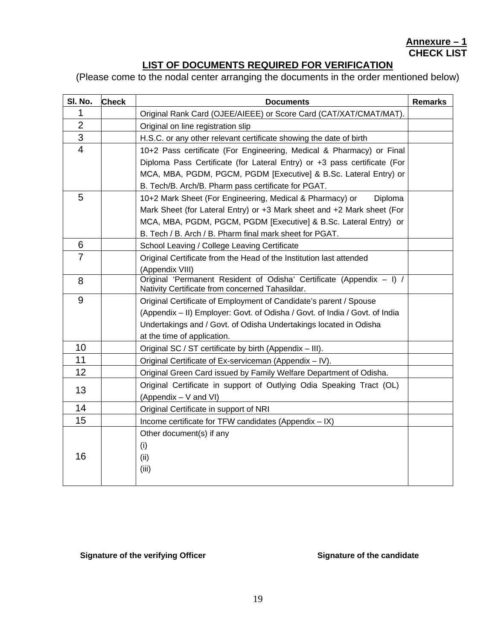### **Annexure – 1 CHECK LIST**

### **LIST OF DOCUMENTS REQUIRED FOR VERIFICATION**

(Please come to the nodal center arranging the documents in the order mentioned below)

| SI. No.        | <b>Check</b> | <b>Documents</b>                                                                                                        | <b>Remarks</b> |
|----------------|--------------|-------------------------------------------------------------------------------------------------------------------------|----------------|
| 1              |              | Original Rank Card (OJEE/AIEEE) or Score Card (CAT/XAT/CMAT/MAT).                                                       |                |
| $\overline{2}$ |              | Original on line registration slip                                                                                      |                |
| 3              |              | H.S.C. or any other relevant certificate showing the date of birth                                                      |                |
| $\overline{4}$ |              | 10+2 Pass certificate (For Engineering, Medical & Pharmacy) or Final                                                    |                |
|                |              | Diploma Pass Certificate (for Lateral Entry) or +3 pass certificate (For                                                |                |
|                |              | MCA, MBA, PGDM, PGCM, PGDM [Executive] & B.Sc. Lateral Entry) or                                                        |                |
|                |              | B. Tech/B. Arch/B. Pharm pass certificate for PGAT.                                                                     |                |
| 5              |              | 10+2 Mark Sheet (For Engineering, Medical & Pharmacy) or<br>Diploma                                                     |                |
|                |              | Mark Sheet (for Lateral Entry) or +3 Mark sheet and +2 Mark sheet (For                                                  |                |
|                |              | MCA, MBA, PGDM, PGCM, PGDM [Executive] & B.Sc. Lateral Entry) or                                                        |                |
|                |              | B. Tech / B. Arch / B. Pharm final mark sheet for PGAT.                                                                 |                |
| 6              |              | School Leaving / College Leaving Certificate                                                                            |                |
| $\overline{7}$ |              | Original Certificate from the Head of the Institution last attended                                                     |                |
|                |              | (Appendix VIII)                                                                                                         |                |
| 8              |              | Original 'Permanent Resident of Odisha' Certificate (Appendix - I) /<br>Nativity Certificate from concerned Tahasildar. |                |
| 9              |              | Original Certificate of Employment of Candidate's parent / Spouse                                                       |                |
|                |              | (Appendix - II) Employer: Govt. of Odisha / Govt. of India / Govt. of India                                             |                |
|                |              | Undertakings and / Govt. of Odisha Undertakings located in Odisha                                                       |                |
|                |              | at the time of application.                                                                                             |                |
| 10             |              | Original SC / ST certificate by birth (Appendix - III).                                                                 |                |
| 11             |              | Original Certificate of Ex-serviceman (Appendix - IV).                                                                  |                |
| 12             |              | Original Green Card issued by Family Welfare Department of Odisha.                                                      |                |
| 13             |              | Original Certificate in support of Outlying Odia Speaking Tract (OL)                                                    |                |
|                |              | (Appendix - V and VI)                                                                                                   |                |
| 14             |              | Original Certificate in support of NRI                                                                                  |                |
| 15             |              | Income certificate for TFW candidates (Appendix - IX)                                                                   |                |
|                |              | Other document(s) if any                                                                                                |                |
|                |              | (i)                                                                                                                     |                |
| 16             |              | (ii)                                                                                                                    |                |
|                |              | (iii)                                                                                                                   |                |
|                |              |                                                                                                                         |                |

### Signature of the verifying Officer **Signature of the candidate Signature of the candidate**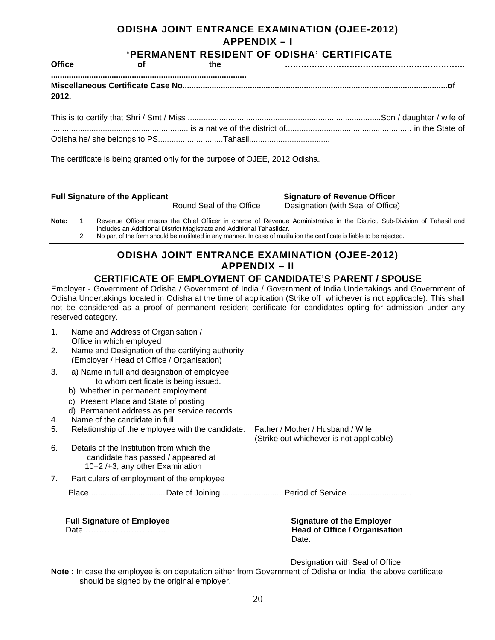### **ODISHA JOINT ENTRANCE EXAMINATION (OJEE-2012) APPENDIX – I**

| <b>Office</b> | <b>of</b>                                                                   | the |  |
|---------------|-----------------------------------------------------------------------------|-----|--|
| 2012.         |                                                                             |     |  |
|               |                                                                             |     |  |
|               |                                                                             |     |  |
|               | The certificate is being granted only for the purpose of OJEE, 2012 Odisha. |     |  |

### **Full Signature of the Applicant Signature of Revenue Officer**

## Round Seal of the Office Designation (with Seal of Office)

**Note:** 1. Revenue Officer means the Chief Officer in charge of Revenue Administrative in the District, Sub-Division of Tahasil and includes an Additional District Magistrate and Additional Tahasildar. 2. No part of the form should be mutilated in any manner. In case of mutilation the certificate is liable to be rejected.

### **ODISHA JOINT ENTRANCE EXAMINATION (OJEE-2012) APPENDIX – II**

### **CERTIFICATE OF EMPLOYMENT OF CANDIDATE'S PARENT / SPOUSE**

Employer - Government of Odisha / Government of India / Government of India Undertakings and Government of Odisha Undertakings located in Odisha at the time of application (Strike off whichever is not applicable). This shall not be considered as a proof of permanent resident certificate for candidates opting for admission under any reserved category.

1. Name and Address of Organisation / Office in which employed 2. Name and Designation of the certifying authority (Employer / Head of Office / Organisation) 3. a) Name in full and designation of employee to whom certificate is being issued. b) Whether in permanent employment c) Present Place and State of posting d) Permanent address as per service records 4. Name of the candidate in full 5. Relationship of the employee with the candidate: Father / Mother / Husband / Wife (Strike out whichever is not applicable) 6. Details of the Institution from which the candidate has passed / appeared at 10+2 /+3, any other Examination 7. Particulars of employment of the employee Place ...............................Date of Joining .......................... Period of Service .......................... **Full Signature of Employee Signature of the Employer Contract Act Act Signature of the Employer** 

Date…………………………. **Head of Office / Organisation**  Date: The contract of the contract of the contract of the Date:

Designation with Seal of Office

**Note :** In case the employee is on deputation either from Government of Odisha or India, the above certificate should be signed by the original employer.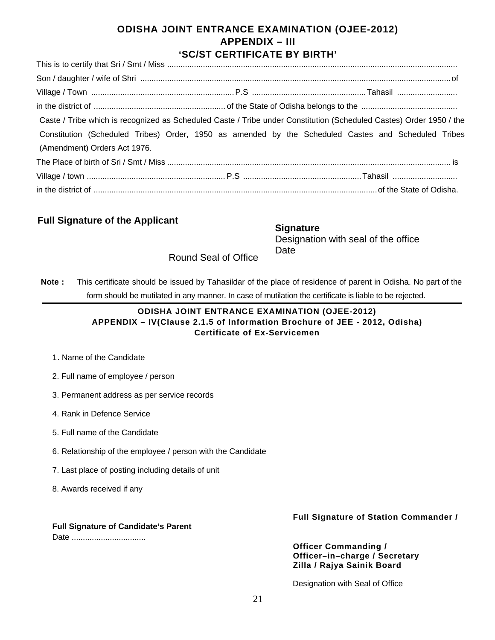### **ODISHA JOINT ENTRANCE EXAMINATION (OJEE-2012) APPENDIX – III 'SC/ST CERTIFICATE BY BIRTH'**

| Caste / Tribe which is recognized as Scheduled Caste / Tribe under Constitution (Scheduled Castes) Order 1950 / the |  |  |
|---------------------------------------------------------------------------------------------------------------------|--|--|
| Constitution (Scheduled Tribes) Order, 1950 as amended by the Scheduled Castes and Scheduled Tribes                 |  |  |
| (Amendment) Orders Act 1976.                                                                                        |  |  |
|                                                                                                                     |  |  |
|                                                                                                                     |  |  |
|                                                                                                                     |  |  |

### **Full Signature of the Applicant**

| <b>Signature</b>                    |
|-------------------------------------|
| Designation with seal of the office |
| Date                                |

Round Seal of Office

**Note :** This certificate should be issued by Tahasildar of the place of residence of parent in Odisha. No part of the form should be mutilated in any manner. In case of mutilation the certificate is liable to be rejected.

### **ODISHA JOINT ENTRANCE EXAMINATION (OJEE-2012) APPENDIX – IV(Clause 2.1.5 of Information Brochure of JEE - 2012, Odisha) Certificate of Ex-Servicemen**

- 1. Name of the Candidate
- 2. Full name of employee / person
- 3. Permanent address as per service records
- 4. Rank in Defence Service
- 5. Full name of the Candidate
- 6. Relationship of the employee / person with the Candidate
- 7. Last place of posting including details of unit
- 8. Awards received if any

### **Full Signature of Candidate's Parent**

Date .................................

### **Full Signature of Station Commander /**

**Officer Commanding / Officer–in–charge / Secretary Zilla / Rajya Sainik Board** 

Designation with Seal of Office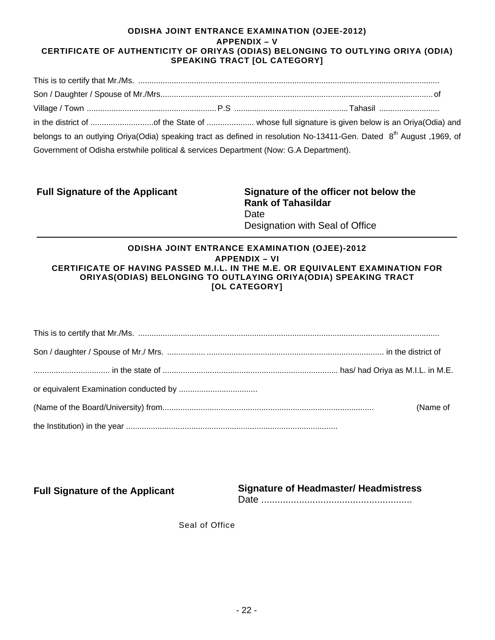### **ODISHA JOINT ENTRANCE EXAMINATION (OJEE-2012) APPENDIX – V CERTIFICATE OF AUTHENTICITY OF ORIYAS (ODIAS) BELONGING TO OUTLYING ORIYA (ODIA) SPEAKING TRACT [OL CATEGORY]**

|                                                                                       | belongs to an outlying Oriya(Odia) speaking tract as defined in resolution No-13411-Gen. Dated 8 <sup>th</sup> August 1969, of |  |
|---------------------------------------------------------------------------------------|--------------------------------------------------------------------------------------------------------------------------------|--|
| Government of Odisha erstwhile political & services Department (Now: G.A Department). |                                                                                                                                |  |

**Full Signature of the Applicant** 

**Signature of the officer not below the Rank of Tahasildar**  Date Designation with Seal of Office

### **ODISHA JOINT ENTRANCE EXAMINATION (OJEE)-2012 APPENDIX – VI CERTIFICATE OF HAVING PASSED M.I.L. IN THE M.E. OR EQUIVALENT EXAMINATION FOR ORIYAS(ODIAS) BELONGING TO OUTLAYING ORIYA(ODIA) SPEAKING TRACT [OL CATEGORY]**

| (Name of |
|----------|
|          |

**Signature of Headmaster/ Headmistress**  Date ........................................................ **Full Signature of the Applicant** 

Seal of Office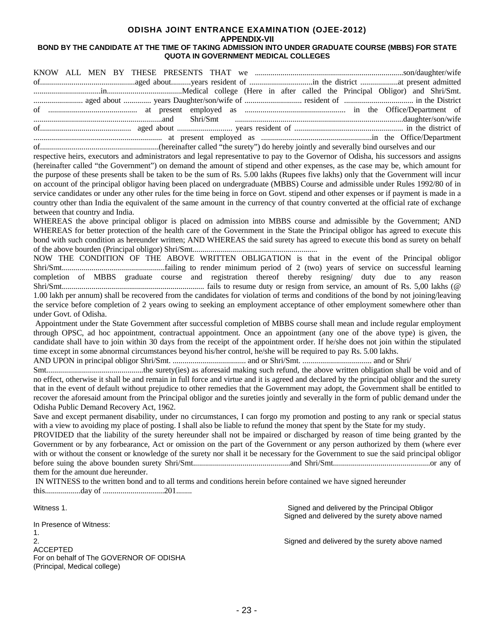### **ODISHA JOINT ENTRANCE EXAMINATION (OJEE-2012) APPENDIX-VII**

### **BOND BY THE CANDIDATE AT THE TIME OF TAKING ADMISSION INTO UNDER GRADUATE COURSE (MBBS) FOR STATE QUOTA IN GOVERNMENT MEDICAL COLLEGES**

| respective heirs, executors and administrators and legal representative to pay to the Governor of Odisha, his successors and assigns       |                                                |
|--------------------------------------------------------------------------------------------------------------------------------------------|------------------------------------------------|
| (hereinafter called "the Government") on demand the amount of stipend and other expenses, as the case may be, which amount for             |                                                |
| the purpose of these presents shall be taken to be the sum of Rs. 5.00 lakhs (Rupees five lakhs) only that the Government will incur       |                                                |
| on account of the principal obligor having been placed on undergraduate (MBBS) Course and admissible under Rules 1992/80 of in             |                                                |
| service candidates or under any other rules for the time being in force on Govt. stipend and other expenses or if payment is made in a     |                                                |
| country other than India the equivalent of the same amount in the currency of that country converted at the official rate of exchange      |                                                |
| between that country and India.                                                                                                            |                                                |
| WHEREAS the above principal obligor is placed on admission into MBBS course and admissible by the Government; AND                          |                                                |
| WHEREAS for better protection of the health care of the Government in the State the Principal obligor has agreed to execute this           |                                                |
| bond with such condition as hereunder written; AND WHEREAS the said surety has agreed to execute this bond as surety on behalf             |                                                |
|                                                                                                                                            |                                                |
| NOW THE CONDITION OF THE ABOVE WRITTEN OBLIGATION is that in the event of the Principal obligor                                            |                                                |
|                                                                                                                                            |                                                |
| completion of MBBS graduate course and registration thereof thereby resigning/ duty due to any reason                                      |                                                |
|                                                                                                                                            |                                                |
| 1.00 lakh per annum) shall be recovered from the candidates for violation of terms and conditions of the bond by not joining/leaving       |                                                |
| the service before completion of 2 years owing to seeking an employment acceptance of other employment somewhere other than                |                                                |
| under Govt. of Odisha.                                                                                                                     |                                                |
| Appointment under the State Government after successful completion of MBBS course shall mean and include regular employment                |                                                |
| through OPSC, ad hoc appointment, contractual appointment. Once an appointment (any one of the above type) is given, the                   |                                                |
| candidate shall have to join within 30 days from the receipt of the appointment order. If he/she does not join within the stipulated       |                                                |
| time except in some abnormal circumstances beyond his/her control, he/she will be required to pay Rs. 5.00 lakhs.                          |                                                |
|                                                                                                                                            |                                                |
|                                                                                                                                            |                                                |
| no effect, otherwise it shall be and remain in full force and virtue and it is agreed and declared by the principal obligor and the surety |                                                |
| that in the event of default without prejudice to other remedies that the Government may adopt, the Government shall be entitled to        |                                                |
| recover the aforesaid amount from the Principal obligor and the sureties jointly and severally in the form of public demand under the      |                                                |
| Odisha Public Demand Recovery Act, 1962.                                                                                                   |                                                |
| Save and except permanent disability, under no circumstances, I can forgo my promotion and posting to any rank or special status           |                                                |
| with a view to avoiding my place of posting. I shall also be liable to refund the money that spent by the State for my study.              |                                                |
| PROVIDED that the liability of the surety hereunder shall not be impaired or discharged by reason of time being granted by the             |                                                |
| Government or by any forbearance, Act or omission on the part of the Government or any person authorized by them (where ever               |                                                |
| with or without the consent or knowledge of the surety nor shall it be necessary for the Government to sue the said principal obligor      |                                                |
|                                                                                                                                            |                                                |
| them for the amount due hereunder.                                                                                                         |                                                |
| IN WITNESS to the written bond and to all terms and conditions herein before contained we have signed hereunder                            |                                                |
|                                                                                                                                            |                                                |
|                                                                                                                                            |                                                |
| Witness 1.                                                                                                                                 | Signed and delivered by the Principal Obligor  |
|                                                                                                                                            | Signed and delivered by the surety above named |
| In Presence of Witness:                                                                                                                    |                                                |
| 1.<br>2.                                                                                                                                   | Signed and delivered by the surety above named |
| <b>ACCEPTED</b>                                                                                                                            |                                                |
| For on behalf of The GOVERNOR OF ODISHA                                                                                                    |                                                |
| (Principal, Medical college)                                                                                                               |                                                |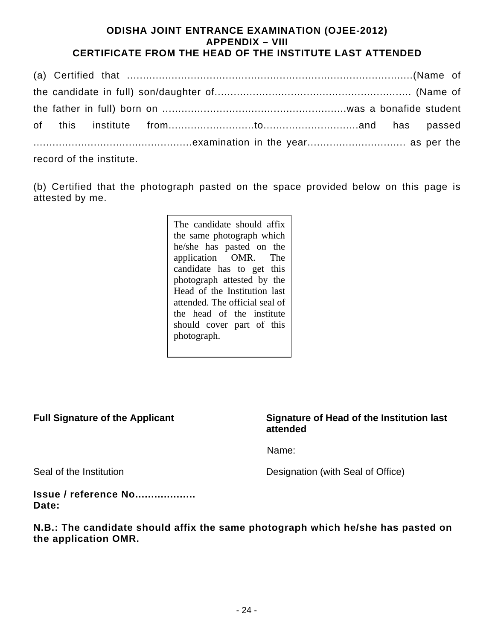### **ODISHA JOINT ENTRANCE EXAMINATION (OJEE-2012) APPENDIX – VIII CERTIFICATE FROM THE HEAD OF THE INSTITUTE LAST ATTENDED**

|  | record of the institute. |  |  |  |
|--|--------------------------|--|--|--|

(b) Certified that the photograph pasted on the space provided below on this page is attested by me.

> The candidate should affix the same photograph which he/she has pasted on the application OMR. The candidate has to get this photograph attested by the Head of the Institution last attended. The official seal of the head of the institute should cover part of this photograph.

### **Full Signature of the Applicant Signature of Head of the Institution last attended**

Name: And Allen and Allen and Allen and Allen and Allen and Allen and Allen and Allen and Allen and Allen and A

Seal of the Institution **Designation** (with Seal of Office)

**Issue / reference No................... Date:** 

**N.B.: The candidate should affix the same photograph which he/she has pasted on the application OMR.**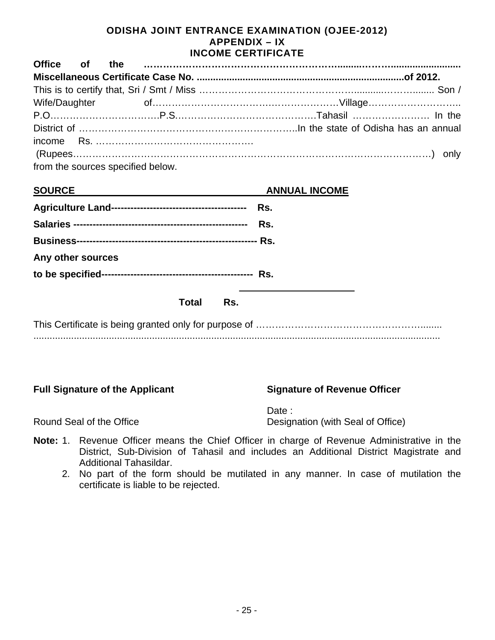### **ODISHA JOINT ENTRANCE EXAMINATION (OJEE-2012) APPENDIX – IX INCOME CERTIFICATE**

| <b>Office</b>     | <b>of</b> | the |                                   |     |                      |  |
|-------------------|-----------|-----|-----------------------------------|-----|----------------------|--|
|                   |           |     |                                   |     |                      |  |
|                   |           |     |                                   |     |                      |  |
|                   |           |     |                                   |     |                      |  |
|                   |           |     |                                   |     |                      |  |
|                   |           |     |                                   |     |                      |  |
| income            |           |     |                                   |     |                      |  |
|                   |           |     |                                   |     |                      |  |
|                   |           |     | from the sources specified below. |     |                      |  |
| <b>SOURCE</b>     |           |     |                                   |     | <b>ANNUAL INCOME</b> |  |
|                   |           |     |                                   |     |                      |  |
|                   |           |     |                                   |     |                      |  |
|                   |           |     |                                   |     |                      |  |
| Any other sources |           |     |                                   |     |                      |  |
|                   |           |     |                                   |     |                      |  |
|                   |           |     | <b>Total</b>                      | Rs. |                      |  |
|                   |           |     |                                   |     |                      |  |
|                   |           |     |                                   |     |                      |  |
|                   |           |     |                                   |     |                      |  |
|                   |           |     |                                   |     |                      |  |
|                   |           |     |                                   |     |                      |  |

### **Full Signature of the Applicant Signature of Revenue Officer**

Date : Round Seal of the Office **Designation** (with Seal of Office)

- **Note:** 1. Revenue Officer means the Chief Officer in charge of Revenue Administrative in the District, Sub-Division of Tahasil and includes an Additional District Magistrate and Additional Tahasildar.
	- 2. No part of the form should be mutilated in any manner. In case of mutilation the certificate is liable to be rejected.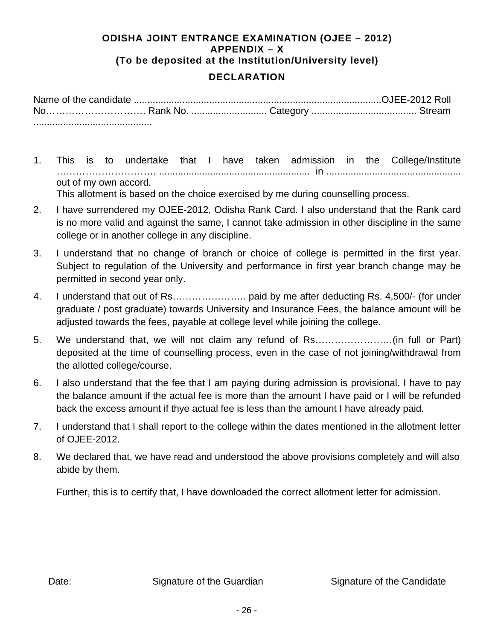### **ODISHA JOINT ENTRANCE EXAMINATION (OJEE – 2012) APPENDIX – X (To be deposited at the Institution/University level)**

### **DECLARATION**

- 1. This is to undertake that I have taken admission in the College/Institute …………………………. ........................................................ in .................................................. out of my own accord. This allotment is based on the choice exercised by me during counselling process.
- 2. I have surrendered my OJEE-2012, Odisha Rank Card. I also understand that the Rank card is no more valid and against the same, I cannot take admission in other discipline in the same college or in another college in any discipline.
- 3. I understand that no change of branch or choice of college is permitted in the first year. Subject to regulation of the University and performance in first year branch change may be permitted in second year only.
- 4. I understand that out of Rs………………….. paid by me after deducting Rs. 4,500/- (for under graduate / post graduate) towards University and Insurance Fees, the balance amount will be adjusted towards the fees, payable at college level while joining the college.
- 5. We understand that, we will not claim any refund of Rs……………………(in full or Part) deposited at the time of counselling process, even in the case of not joining/withdrawal from the allotted college/course.
- 6. I also understand that the fee that I am paying during admission is provisional. I have to pay the balance amount if the actual fee is more than the amount I have paid or I will be refunded back the excess amount if thye actual fee is less than the amount I have already paid.
- 7. I understand that I shall report to the college within the dates mentioned in the allotment letter of OJEE-2012.
- 8. We declared that, we have read and understood the above provisions completely and will also abide by them.

Further, this is to certify that, I have downloaded the correct allotment letter for admission.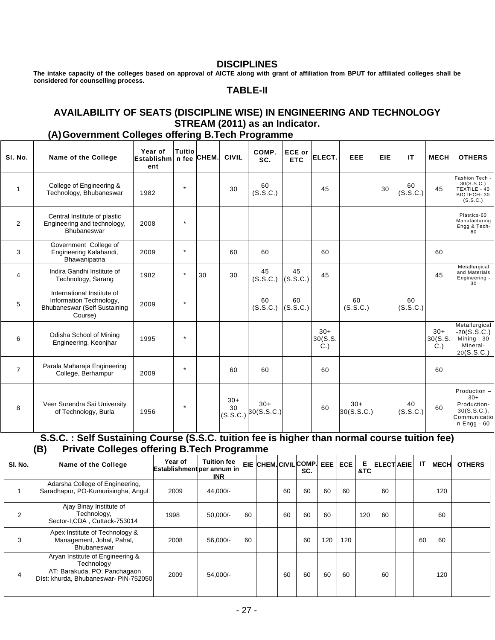### **DISCIPLINES**

**The intake capacity of the colleges based on approval of AICTE along with grant of affiliation from BPUT for affiliated colleges shall be considered for counselling process.** 

### **TABLE-II**

### **AVAILABILITY OF SEATS (DISCIPLINE WISE) IN ENGINEERING AND TECHNOLOGY STREAM (2011) as an Indicator.**

### **(A) Government Colleges offering B.Tech Programme**

| SI. No.        | Name of the College                                                                              | Year of<br>Establishm n fee CHEM.<br>ent | <b>Tuitio</b> |    | <b>CIVIL</b>            | COMP.<br>SC.        | <b>ECE or</b><br><b>ETC</b> | ELECT.                     | EEE                 | <b>EIE</b> | IT             | <b>MECH</b>            | <b>OTHERS</b>                                                                      |
|----------------|--------------------------------------------------------------------------------------------------|------------------------------------------|---------------|----|-------------------------|---------------------|-----------------------------|----------------------------|---------------------|------------|----------------|------------------------|------------------------------------------------------------------------------------|
| $\mathbf{1}$   | College of Engineering &<br>Technology, Bhubaneswar                                              | 1982                                     | $\star$       |    | 30                      | 60<br>(S.S.C.)      |                             | 45                         |                     | 30         | 60<br>(S.S.C.) | 45                     | Fashion Tech<br>30(S.S.C.)<br>TEXTILE - 40<br>BIOTECH-30<br>(S.S.C.)               |
| $\overline{2}$ | Central Institute of plastic<br>Engineering and technology,<br>Bhubaneswar                       | 2008                                     | $\star$       |    |                         |                     |                             |                            |                     |            |                |                        | Plastics-60<br>Manufacturing<br>Engg & Tech-<br>60                                 |
| 3              | Government College of<br>Engineering Kalahandi,<br>Bhawanipatna                                  | 2009                                     | $\star$       |    | 60                      | 60                  |                             | 60                         |                     |            |                | 60                     |                                                                                    |
| $\overline{4}$ | Indira Gandhi Institute of<br>Technology, Sarang                                                 | 1982                                     | $\star$       | 30 | 30                      | 45<br>(S.S.C.)      | 45<br>(S.S.C.)              | 45                         |                     |            |                | 45                     | Metallurgical<br>and Materials<br>Engineering -<br>30                              |
| 5              | International Institute of<br>Information Technology,<br>Bhubaneswar (Self Sustaining<br>Course) | 2009                                     | $\star$       |    |                         | 60<br>(S.S.C.)      | 60<br>(S.S.C.)              |                            | 60<br>(S.S.C.)      |            | 60<br>(S.S.C.) |                        |                                                                                    |
| 6              | Odisha School of Mining<br>Engineering, Keonjhar                                                 | 1995                                     | $\star$       |    |                         |                     |                             | $30+$<br>30(S.S.<br>$C.$ ) |                     |            |                | $30+$<br>30(S.S.<br>C. | Metallurgical<br>$-20(S.S.C.)$<br>Mining - 30<br>Mineral-<br>20(S.S.C.)            |
| $\overline{7}$ | Parala Maharaja Engineering<br>College, Berhampur                                                | 2009                                     | $\star$       |    | 60                      | 60                  |                             | 60                         |                     |            |                | 60                     |                                                                                    |
| 8              | Veer Surendra Sai University<br>of Technology, Burla                                             | 1956                                     | $\star$       |    | $30+$<br>30<br>(S.S.C.) | $30+$<br>30(S.S.C.) |                             | 60                         | $30+$<br>30(S.S.C.) |            | 40<br>(S.S.C.) | 60                     | Production -<br>$30+$<br>Production-<br>30(S.S.C.).<br>Communicatio<br>n Engg - 60 |

### **S.S.C. : Self Sustaining Course (S.S.C. tuition fee is higher than normal course tuition fee) (B) Private Colleges offering B.Tech Programme**

| SI. No. | Name of the College                                                                                                     | Year of<br>Establishmentiper annum in | <b>Tuition fee</b><br><b>INR</b> |    |    | EIE CHEM.CIVILCOMP. EEE ECE<br>SC. |     |     | Е<br>&TC | <b>ELECTAEIE</b> | IT | <b>MECH</b> | <b>OTHERS</b> |
|---------|-------------------------------------------------------------------------------------------------------------------------|---------------------------------------|----------------------------------|----|----|------------------------------------|-----|-----|----------|------------------|----|-------------|---------------|
|         | Adarsha College of Engineering,<br>Saradhapur, PO-Kumurisingha, Angul                                                   | 2009                                  | 44,000/-                         |    | 60 | 60                                 | 60  | 60  |          | 60               |    | 120         |               |
| 2       | Ajay Binay Institute of<br>Technology,<br>Sector-I,CDA, Cuttack-753014                                                  | 1998                                  | $50.000/-$                       | 60 | 60 | 60                                 | 60  |     | 120      | 60               |    | 60          |               |
| 3       | Apex Institute of Technology &<br>Management, Johal, Pahal,<br>Bhubaneswar                                              | 2008                                  | 56,000/-                         | 60 |    | 60                                 | 120 | 120 |          |                  | 60 | 60          |               |
| 4       | Aryan Institute of Engineering &<br>Technology<br>AT: Barakuda, PO: Panchagaon<br>Dist: khurda, Bhubaneswar- PIN-752050 | 2009                                  | 54,000/-                         |    | 60 | 60                                 | 60  | 60  |          | 60               |    | 120         |               |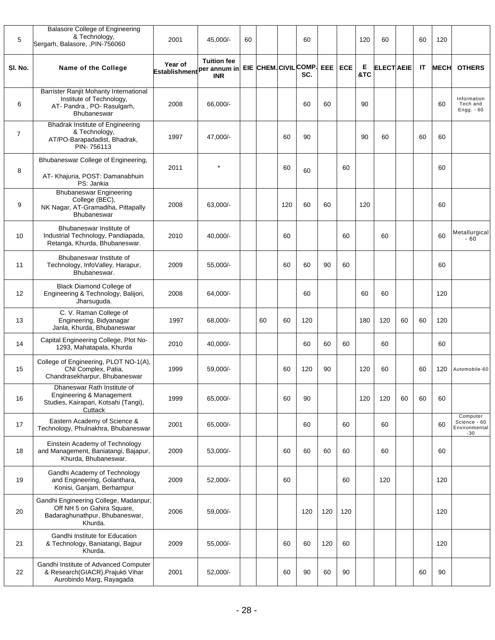| 5              | <b>Balasore College of Engineering</b><br>& Technology,<br>Sergarh, Balasore, ,PIN-756060                        | 2001                                              | 45,000/-                         | 60 |    |     | 60                           |     |         | 120      | 60               |    | 60 | 120         |                                                    |
|----------------|------------------------------------------------------------------------------------------------------------------|---------------------------------------------------|----------------------------------|----|----|-----|------------------------------|-----|---------|----------|------------------|----|----|-------------|----------------------------------------------------|
| SI. No.        | Name of the College                                                                                              | Year of<br>Establishment <sup> per</sup> annum in | <b>Tuition fee</b><br><b>INR</b> |    |    |     | EIE CHEM. CIVIL COMP.<br>SC. |     | EEE ECE | Е<br>&TC | <b>ELECTAEIE</b> |    | IT | <b>MECH</b> | <b>OTHERS</b>                                      |
| 6              | Barrister Ranjit Mohanty International<br>Institute of Technology,<br>AT- Pandra, PO- Rasulgarh,<br>Bhubaneswar  | 2008                                              | 66,000/-                         |    |    |     | 60                           | 60  |         | 90       |                  |    |    | 60          | Information<br>Tech and<br>Engg. - 60              |
| $\overline{7}$ | <b>Bhadrak Institute of Engineering</b><br>& Technology,<br>AT/PO-Barapadadist, Bhadrak,<br>PIN-756113           | 1997                                              | 47,000/-                         |    |    | 60  | 90                           |     |         | 90       | 60               |    | 60 | 60          |                                                    |
| 8              | Bhubaneswar College of Engineering,<br>AT- Khajuria, POST: Damanabhuin<br>PS: Jankia                             | 2011                                              | $\star$                          |    |    | 60  | 60                           |     | 60      |          |                  |    |    | 60          |                                                    |
| 9              | <b>Bhubaneswar Engineering</b><br>College (BEC),<br>NK Nagar, AT-Gramadiha, Pittapally<br>Bhubaneswar            | 2008                                              | 63,000/-                         |    |    | 120 | 60                           | 60  |         | 120      |                  |    |    | 60          |                                                    |
| 10             | Bhubaneswar Institute of<br>Industrial Technology, Pandiapada,<br>Retanga, Khurda, Bhubaneswar.                  | 2010                                              | 40,000/-                         |    |    | 60  |                              |     | 60      |          | 60               |    |    | 60          | Metallurgical<br>$-60$                             |
| 11             | Bhubaneswar Institute of<br>Technology, InfoValley, Harapur,<br>Bhubaneswar.                                     | 2009                                              | 55,000/-                         |    |    | 60  | 60                           | 90  | 60      |          |                  |    |    | 60          |                                                    |
| 12             | <b>Black Diamond College of</b><br>Engineering & Technology, Balijori,<br>Jharsuguda.                            | 2008                                              | 64,000/-                         |    |    |     | 60                           |     |         | 60       | 60               |    |    | 120         |                                                    |
| 13             | C. V. Raman College of<br>Engineering, Bidyanagar<br>Janla, Khurda, Bhubaneswar                                  | 1997                                              | 68,000/-                         |    | 60 | 60  | 120                          |     |         | 180      | 120              | 60 | 60 | 120         |                                                    |
| 14             | Capital Engineering College, Plot No-<br>1293, Mahatapala, Khurda                                                | 2010                                              | 40,000/-                         |    |    |     | 60                           | 60  | 60      |          | 60               |    |    | 60          |                                                    |
| 15             | College of Engineering, PLOT NO-1(A),<br>CNI Complex, Patia,<br>Chandrasekharpur, Bhubaneswar                    | 1999                                              | 59,000/-                         |    |    | 60  | 120                          | 90  |         | 120      | 60               |    | 60 | 120         | Automobile-60                                      |
| 16             | Dhaneswar Rath Institute of<br>Engineering & Management<br>Studies, Kairapari, Kotsahi (Tangi),<br>Cuttack       | 1999                                              | 65.000/-                         |    |    | 60  | 90                           |     |         | 120      | 120              | 60 | 60 | 60          |                                                    |
| 17             | Eastern Academy of Science &<br>Technology, Phulnakhra, Bhubaneswar                                              | 2001                                              | 65,000/-                         |    |    |     | 60                           |     | 60      |          | 60               |    |    | 60          | Computer<br>Science - 60<br>Environmental<br>$-30$ |
| 18             | Einstein Academy of Technology<br>and Management, Baniatangi, Bajapur,<br>Khurda, Bhubaneswar.                   | 2009                                              | 53,000/-                         |    |    | 60  | 60                           | 60  | 60      |          | 60               |    |    | 60          |                                                    |
| 19             | Gandhi Academy of Technology<br>and Engineering, Golanthara,<br>Konisi, Ganjam, Berhampur                        | 2009                                              | 52,000/-                         |    |    | 60  |                              |     | 60      |          | 120              |    |    | 120         |                                                    |
| 20             | Gandhi Engineering College, Madanpur,<br>Off NH 5 on Gahira Square,<br>Badaraghunathpur, Bhubaneswar,<br>Khurda. | 2006                                              | 59,000/-                         |    |    |     | 120                          | 120 | 120     |          |                  |    |    | 120         |                                                    |
| 21             | Gandhi Institute for Education<br>& Technology, Baniatangi, Bajpur<br>Khurda.                                    | 2009                                              | 55,000/-                         |    |    | 60  | 60                           | 120 | 60      |          |                  |    |    | 120         |                                                    |
| 22             | Gandhi Institute of Advanced Computer<br>& Research(GIACR), Prajukti Vihar<br>Aurobindo Marg, Rayagada           | 2001                                              | 52,000/-                         |    |    | 60  | 90                           | 60  | 90      |          |                  |    | 60 | 90          |                                                    |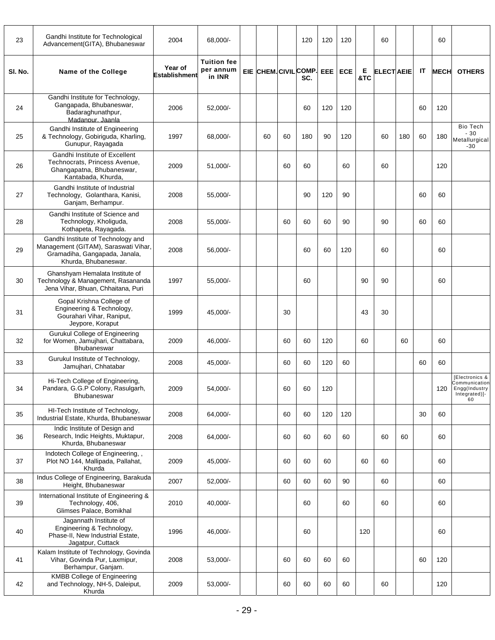| 23      | Gandhi Institute for Technological<br>Advancement(GITA), Bhubaneswar                                                                | 2004                            | 68,000/-                                  |    |    | 120                          | 120 | 120        |          | 60                |     |    | 60          |                                                                         |
|---------|-------------------------------------------------------------------------------------------------------------------------------------|---------------------------------|-------------------------------------------|----|----|------------------------------|-----|------------|----------|-------------------|-----|----|-------------|-------------------------------------------------------------------------|
| SI. No. | Name of the College                                                                                                                 | Year of<br><b>Establishment</b> | <b>Tuition fee</b><br>per annum<br>in INR |    |    | EIE CHEM. CIVIL COMP.<br>SC. | EEE | <b>ECE</b> | Е<br>&TC | <b>ELECT AEIE</b> |     | IT | <b>MECH</b> | <b>OTHERS</b>                                                           |
| 24      | Gandhi Institute for Technology,<br>Gangapada, Bhubaneswar,<br>Badaraghunathpur,<br>Madanpur, Jaanla                                | 2006                            | 52,000/-                                  |    |    | 60                           | 120 | 120        |          |                   |     | 60 | 120         |                                                                         |
| 25      | Gandhi Institute of Engineering<br>& Technology, Gobiriguda, Kharling,<br>Gunupur, Rayagada                                         | 1997                            | 68,000/-                                  | 60 | 60 | 180                          | 90  | 120        |          | 60                | 180 | 60 | 180         | <b>Bio Tech</b><br>$-30$<br>Metallurgical<br>$-30$                      |
| 26      | Gandhi Institute of Excellent<br>Technocrats, Princess Avenue,<br>Ghangapatna, Bhubaneswar,<br>Kantabada, Khurda,                   | 2009                            | $51,000/-$                                |    | 60 | 60                           |     | 60         |          | 60                |     |    | 120         |                                                                         |
| 27      | Gandhi Institute of Industrial<br>Technology, Golanthara, Kanisi,<br>Ganjam, Berhampur.                                             | 2008                            | 55,000/-                                  |    |    | 90                           | 120 | 90         |          |                   |     | 60 | 60          |                                                                         |
| 28      | Gandhi Institute of Science and<br>Technology, Kholiguda,<br>Kothapeta, Rayagada.                                                   | 2008                            | 55,000/-                                  |    | 60 | 60                           | 60  | 90         |          | 90                |     | 60 | 60          |                                                                         |
| 29      | Gandhi Institute of Technology and<br>Management (GITAM), Saraswati Vihar,<br>Gramadiha, Gangapada, Janala,<br>Khurda, Bhubaneswar. | 2008                            | 56,000/-                                  |    |    | 60                           | 60  | 120        |          | 60                |     |    | 60          |                                                                         |
| 30      | Ghanshyam Hemalata Institute of<br>Technology & Management, Rasananda<br>Jena Vihar, Bhuan, Chhaitana, Puri                         | 1997                            | 55,000/-                                  |    |    | 60                           |     |            | 90       | 90                |     |    | 60          |                                                                         |
| 31      | Gopal Krishna College of<br>Engineering & Technology,<br>Gourahari Vihar, Raniput,<br>Jeypore, Koraput                              | 1999                            | 45,000/-                                  |    | 30 |                              |     |            | 43       | 30                |     |    |             |                                                                         |
| 32      | <b>Gurukul College of Engineering</b><br>for Women, Jamujhari, Chattabara,<br><b>Bhubaneswar</b>                                    | 2009                            | 46,000/-                                  |    | 60 | 60                           | 120 |            | 60       |                   | 60  |    | 60          |                                                                         |
| 33      | Gurukul Institute of Technology,<br>Jamujhari, Chhatabar                                                                            | 2008                            | 45,000/-                                  |    | 60 | 60                           | 120 | 60         |          |                   |     | 60 | 60          |                                                                         |
| 34      | Hi-Tech College of Engineering,<br>Pandara, G.G.P Colony, Rasulgarh,<br>Bhubaneswar                                                 | 2009                            | 54,000/-                                  |    | 60 | 60                           | 120 |            |          |                   |     |    | 120         | [Electronics &<br>Communication<br>Engg(Industry<br>Integrated)]-<br>60 |
| 35      | HI-Tech Institute of Technology,<br>Industrial Estate, Khurda, Bhubaneswar                                                          | 2008                            | 64,000/-                                  |    | 60 | 60                           | 120 | 120        |          |                   |     | 30 | 60          |                                                                         |
| 36      | Indic Institute of Design and<br>Research, Indic Heights, Muktapur,<br>Khurda, Bhubaneswar                                          | 2008                            | 64,000/-                                  |    | 60 | 60                           | 60  | 60         |          | 60                | 60  |    | 60          |                                                                         |
| 37      | Indotech College of Engineering, ,<br>Plot NO 144, Mallipada, Pallahat,<br>Khurda                                                   | 2009                            | 45,000/-                                  |    | 60 | 60                           | 60  |            | 60       | 60                |     |    | 60          |                                                                         |
| 38      | Indus College of Engineering, Barakuda<br>Height, Bhubaneswar                                                                       | 2007                            | 52,000/-                                  |    | 60 | 60                           | 60  | 90         |          | 60                |     |    | 60          |                                                                         |
| 39      | International Institute of Engineering &<br>Technology, 406,<br>Glimses Palace, Bomikhal                                            | 2010                            | 40,000/-                                  |    |    | 60                           |     | 60         |          | 60                |     |    | 60          |                                                                         |
| 40      | Jagannath Institute of<br>Engineering & Technology,<br>Phase-II, New Industrial Estate,<br>Jagatpur, Cuttack                        | 1996                            | 46,000/-                                  |    |    | 60                           |     |            | 120      |                   |     |    | 60          |                                                                         |
| 41      | Kalam Institute of Technology, Govinda<br>Vihar, Govinda Pur, Laxmipur,<br>Berhampur, Ganjam.                                       | 2008                            | 53,000/-                                  |    | 60 | 60                           | 60  | 60         |          |                   |     | 60 | 120         |                                                                         |
| 42      | <b>KMBB College of Engineering</b><br>and Technology, NH-5, Daleiput,<br>Khurda                                                     | 2009                            | 53,000/-                                  |    | 60 | 60                           | 60  | 60         |          | 60                |     |    | 120         |                                                                         |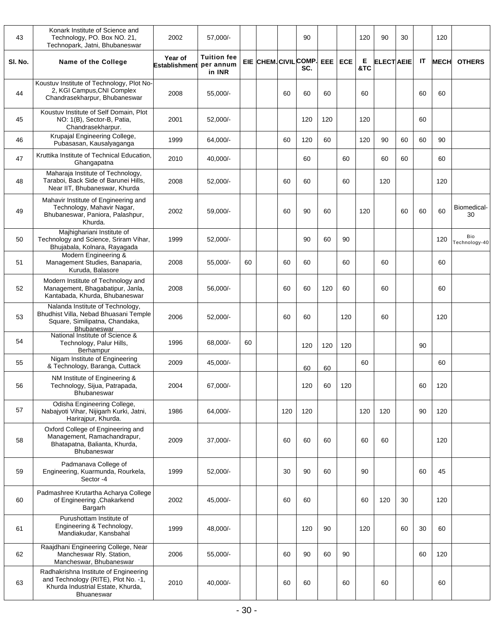| 43      | Konark Institute of Science and<br>Technology, PO. Box NO. 21,<br>Technopark, Jatni, Bhubaneswar                                | 2002                            | 57,000/-                                  |    |                       |     | 90  |            |            | 120      | 90                | 30 |    | 120         |                      |
|---------|---------------------------------------------------------------------------------------------------------------------------------|---------------------------------|-------------------------------------------|----|-----------------------|-----|-----|------------|------------|----------|-------------------|----|----|-------------|----------------------|
| SI. No. | Name of the College                                                                                                             | Year of<br><b>Establishment</b> | <b>Tuition fee</b><br>per annum<br>in INR |    | EIE CHEM. CIVIL COMP. |     | SC. | <b>EEE</b> | <b>ECE</b> | Е<br>&TC | <b>ELECT AEIE</b> |    | IT | <b>MECH</b> | <b>OTHERS</b>        |
| 44      | Koustuv Institute of Technology, Plot No-<br>2, KGI Campus, CNI Complex<br>Chandrasekharpur, Bhubaneswar                        | 2008                            | 55,000/-                                  |    |                       | 60  | 60  | 60         |            | 60       |                   |    | 60 | 60          |                      |
| 45      | Koustuv Institute of Self Domain, Plot<br>NO: 1(B), Sector-B, Patia,<br>Chandrasekharpur.                                       | 2001                            | 52,000/-                                  |    |                       |     | 120 | 120        |            | 120      |                   |    | 60 |             |                      |
| 46      | Krupajal Engineering College,<br>Pubasasan, Kausalyaganga                                                                       | 1999                            | 64.000/-                                  |    |                       | 60  | 120 | 60         |            | 120      | 90                | 60 | 60 | 90          |                      |
| 47      | Kruttika Institute of Technical Education,<br>Ghangapatna                                                                       | 2010                            | 40,000/-                                  |    |                       |     | 60  |            | 60         |          | 60                | 60 |    | 60          |                      |
| 48      | Maharaja Institute of Technology,<br>Taraboi, Back Side of Barunei Hills,<br>Near IIT, Bhubaneswar, Khurda                      | 2008                            | 52,000/-                                  |    |                       | 60  | 60  |            | 60         |          | 120               |    |    | 120         |                      |
| 49      | Mahavir Institute of Engineering and<br>Technology, Mahavir Nagar,<br>Bhubaneswar, Paniora, Palashpur,<br>Khurda.               | 2002                            | 59,000/-                                  |    |                       | 60  | 90  | 60         |            | 120      |                   | 60 | 60 | 60          | Biomedical-<br>30    |
| 50      | Majhighariani Institute of<br>Technology and Science, Sriram Vihar,<br>Bhujabala, Kolnara, Rayagada                             | 1999                            | 52,000/-                                  |    |                       |     | 90  | 60         | 90         |          |                   |    |    | 120         | Bio<br>Technology-40 |
| 51      | Modern Engineering &<br>Management Studies, Banaparia,<br>Kuruda, Balasore                                                      | 2008                            | 55,000/-                                  | 60 |                       | 60  | 60  |            | 60         |          | 60                |    |    | 60          |                      |
| 52      | Modern Institute of Technology and<br>Management, Bhagabatipur, Janla,<br>Kantabada, Khurda, Bhubaneswar                        | 2008                            | 56,000/-                                  |    |                       | 60  | 60  | 120        | 60         |          | 60                |    |    | 60          |                      |
| 53      | Nalanda Institute of Technology,<br>Bhudhist Villa, Nebad Bhuasani Temple<br>Square, Similipatna, Chandaka,<br>Bhubaneswar      | 2006                            | 52,000/-                                  |    |                       | 60  | 60  |            | 120        |          | 60                |    |    | 120         |                      |
| 54      | National Institute of Science &<br>Technology, Palur Hills,<br>Berhampur                                                        | 1996                            | 68,000/-                                  | 60 |                       |     | 120 | 120        | 120        |          |                   |    | 90 |             |                      |
| 55      | Nigam Institute of Engineering<br>& Technology, Baranga, Cuttack                                                                | 2009                            | 45,000/-                                  |    |                       |     | 60  | 60         |            | 60       |                   |    |    | 60          |                      |
| 56      | NM Institute of Engineering &<br>Technology, Sijua, Patrapada,<br>Bhubaneswar                                                   | 2004                            | 67,000/-                                  |    |                       |     | 120 | 60         | 120        |          |                   |    | 60 | 120         |                      |
| 57      | Odisha Engineering College,<br>Nabajyoti Vihar, Nijigarh Kurki, Jatni,<br>Harirajpur, Khurda.                                   | 1986                            | 64,000/-                                  |    |                       | 120 | 120 |            |            | 120      | 120               |    | 90 | 120         |                      |
| 58      | Oxford College of Engineering and<br>Management, Ramachandrapur,<br>Bhatapatna, Balianta, Khurda,<br>Bhubaneswar                | 2009                            | 37,000/-                                  |    |                       | 60  | 60  | 60         |            | 60       | 60                |    |    | 120         |                      |
| 59      | Padmanava College of<br>Engineering, Kuarmunda, Rourkela,<br>Sector -4                                                          | 1999                            | 52,000/-                                  |    |                       | 30  | 90  | 60         |            | 90       |                   |    | 60 | 45          |                      |
| 60      | Padmashree Krutartha Acharya College<br>of Engineering , Chakarkend<br>Bargarh                                                  | 2002                            | 45,000/-                                  |    |                       | 60  | 60  |            |            | 60       | 120               | 30 |    | 120         |                      |
| 61      | Purushottam Institute of<br>Engineering & Technology,<br>Mandiakudar, Kansbahal                                                 | 1999                            | 48,000/-                                  |    |                       |     | 120 | 90         |            | 120      |                   | 60 | 30 | 60          |                      |
| 62      | Raajdhani Engineering College, Near<br>Mancheswar Rly. Station,<br>Mancheswar, Bhubaneswar                                      | 2006                            | 55,000/-                                  |    |                       | 60  | 90  | 60         | 90         |          |                   |    | 60 | 120         |                      |
| 63      | Radhakrishna Institute of Engineering<br>and Technology (RITE), Plot No. -1,<br>Khurda Industrial Estate, Khurda,<br>Bhuaneswar | 2010                            | 40,000/-                                  |    |                       | 60  | 60  |            | 60         |          | 60                |    |    | 60          |                      |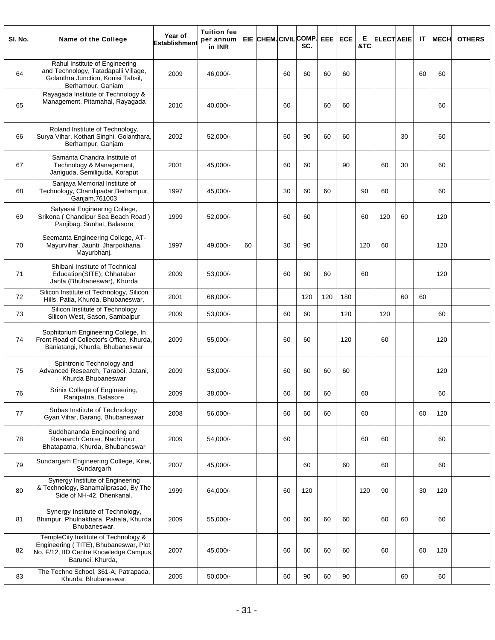| SI. No. | Name of the College                                                                                                                         | Year of<br><b>Establishment</b> | <b>Tuition fee</b><br>per annum<br>in INR |    |    | EIE CHEM. CIVIL COMP. EEE<br>SC. |     | <b>ECE</b> | Е<br>&TC | <b>ELECT AEIE</b> |    | IT | <b>MECH</b> | <b>OTHERS</b> |
|---------|---------------------------------------------------------------------------------------------------------------------------------------------|---------------------------------|-------------------------------------------|----|----|----------------------------------|-----|------------|----------|-------------------|----|----|-------------|---------------|
| 64      | Rahul Institute of Engineering<br>and Technology, Tatadapalli Village,<br>Golanthra Junction, Konisi Tahsil,<br>Berhampur, Ganiam           | 2009                            | 46,000/-                                  |    | 60 | 60                               | 60  | 60         |          |                   |    | 60 | 60          |               |
| 65      | Rayagada Institute of Technology &<br>Management, Pitamahal, Rayagada                                                                       | 2010                            | 40.000/-                                  |    | 60 |                                  | 60  | 60         |          |                   |    |    | 60          |               |
| 66      | Roland Institute of Technology,<br>Surya Vihar, Kothari Singhi, Golanthara,<br>Berhampur, Ganjam                                            | 2002                            | 52,000/-                                  |    | 60 | 90                               | 60  | 60         |          |                   | 30 |    | 60          |               |
| 67      | Samanta Chandra Institute of<br>Technology & Management,<br>Janiguda, Semiliguda, Koraput                                                   | 2001                            | 45,000/-                                  |    | 60 | 60                               |     | 90         |          | 60                | 30 |    | 60          |               |
| 68      | Sanjaya Memorial Institute of<br>Technology, Chandipadar, Berhampur,<br>Ganjam, 761003                                                      | 1997                            | 45,000/-                                  |    | 30 | 60                               | 60  |            | 90       | 60                |    |    | 60          |               |
| 69      | Satyasai Engineering College,<br>Srikona (Chandipur Sea Beach Road)<br>Panjibag, Sunhat, Balasore                                           | 1999                            | 52,000/-                                  |    | 60 | 60                               |     |            | 60       | 120               | 60 |    | 120         |               |
| 70      | Seemanta Engineering College, AT-<br>Mayurvihar, Jaunti, Jharpokharia,<br>Mayurbhanj.                                                       | 1997                            | 49,000/-                                  | 60 | 30 | 90                               |     |            | 120      | 60                |    |    | 120         |               |
| 71      | Shibani Institute of Technical<br>Education(SITE), Chhatabar<br>Janla (Bhubaneswar), Khurda                                                 | 2009                            | 53,000/-                                  |    | 60 | 60                               | 60  |            | 60       |                   |    |    | 120         |               |
| 72      | Silicon Institute of Technology, Silicon<br>Hills, Patia, Khurda, Bhubaneswar,                                                              | 2001                            | 68,000/-                                  |    |    | 120                              | 120 | 180        |          |                   | 60 | 60 |             |               |
| 73      | Silicon Institute of Technology<br>Silicon West, Sason, Sambalpur                                                                           | 2009                            | 53,000/-                                  |    | 60 | 60                               |     | 120        |          | 120               |    |    | 60          |               |
| 74      | Sophitorium Engineering College, In<br>Front Road of Collector's Office, Khurda,<br>Baniatangi, Khurda, Bhubaneswar                         | 2009                            | 55,000/-                                  |    | 60 | 60                               |     | 120        |          | 60                |    |    | 120         |               |
| 75      | Spintronic Technology and<br>Advanced Research, Taraboi, Jatani,<br>Khurda Bhubaneswar                                                      | 2009                            | 53,000/-                                  |    | 60 | 60                               | 60  | 60         |          |                   |    |    | 120         |               |
| 76      | Srinix College of Engineering,<br>Ranipatna, Balasore                                                                                       | 2009                            | 38,000/-                                  |    | 60 | 60                               | 60  |            | 60       |                   |    |    | 60          |               |
| 77      | Subas Institute of Technology<br>Gyan Vihar, Barang, Bhubaneswar                                                                            | 2008                            | 56,000/-                                  |    | 60 | 60                               | 60  |            | 60       |                   |    | 60 | 120         |               |
| 78      | Suddhananda Engineering and<br>Research Center, Nachhipur,<br>Bhatapatna, Khurda, Bhubaneswar                                               | 2009                            | 54,000/-                                  |    | 60 |                                  |     |            | 60       | 60                |    |    | 60          |               |
| 79      | Sundargarh Engineering College, Kirei,<br>Sundargarh                                                                                        | 2007                            | 45.000/-                                  |    |    | 60                               |     | 60         |          | 60                |    |    | 60          |               |
| 80      | Synergy Institute of Engineering<br>& Technology, Banamaliprasad, By The<br>Side of NH-42, Dhenkanal.                                       | 1999                            | 64,000/-                                  |    | 60 | 120                              |     |            | 120      | 90                |    | 30 | 120         |               |
| 81      | Synergy Institute of Technology,<br>Bhimpur, Phulnakhara, Pahala, Khurda<br>Bhubaneswar.                                                    | 2009                            | 55,000/-                                  |    | 60 | 60                               | 60  | 60         |          | 60                | 60 |    | 60          |               |
| 82      | TempleCity Institute of Technology &<br>Engineering (TITE), Bhubaneswar, Plot<br>No. F/12, IID Centre Knowledge Campus,<br>Barunei, Khurda, | 2007                            | 45,000/-                                  |    | 60 | 60                               | 60  | 60         |          | 60                |    | 60 | 120         |               |
| 83      | The Techno School, 361-A, Patrapada,<br>Khurda, Bhubaneswar.                                                                                | 2005                            | 50,000/-                                  |    | 60 | 90                               | 60  | 90         |          |                   | 60 |    | 60          |               |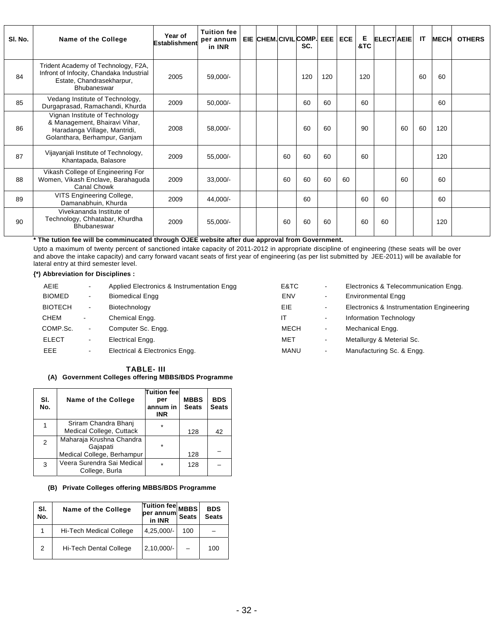| SI. No. | Name of the College                                                                                                                | Year of<br>Establishment | <b>Tuition fee</b><br>per annum<br>in INR |  |    | EIE CHEM. CIVIL COMP.<br>SC. | EEE | <b>ECE</b> | Е<br>&TC | <b>ELECT AEIE</b> |    | IT | <b>MECH</b> | <b>OTHERS</b> |
|---------|------------------------------------------------------------------------------------------------------------------------------------|--------------------------|-------------------------------------------|--|----|------------------------------|-----|------------|----------|-------------------|----|----|-------------|---------------|
| 84      | Trident Academy of Technology, F2A,<br>Infront of Infocity, Chandaka Industrial<br>Estate, Chandrasekharpur,<br><b>Bhubaneswar</b> | 2005                     | 59,000/-                                  |  |    | 120                          | 120 |            | 120      |                   |    | 60 | 60          |               |
| 85      | Vedang Institute of Technology,<br>Durgaprasad, Ramachandi, Khurda                                                                 | 2009                     | $50,000/-$                                |  |    | 60                           | 60  |            | 60       |                   |    |    | 60          |               |
| 86      | Vignan Institute of Technology<br>& Management, Bhairavi Vihar,<br>Haradanga Village, Mantridi,<br>Golanthara, Berhampur, Ganjam   | 2008                     | 58,000/-                                  |  |    | 60                           | 60  |            | 90       |                   | 60 | 60 | 120         |               |
| 87      | Vijayanjali Institute of Technology,<br>Khantapada, Balasore                                                                       | 2009                     | 55,000/-                                  |  | 60 | 60                           | 60  |            | 60       |                   |    |    | 120         |               |
| 88      | Vikash College of Engineering For<br>Women, Vikash Enclave, Barahaguda<br>Canal Chowk                                              | 2009                     | $33,000/-$                                |  | 60 | 60                           | 60  | 60         |          |                   | 60 |    | 60          |               |
| 89      | VITS Engineering College,<br>Damanabhuin, Khurda                                                                                   | 2009                     | 44,000/-                                  |  |    | 60                           |     |            | 60       | 60                |    |    | 60          |               |
| 90      | Vivekananda Institute of<br>Technology, Chhatabar, Khurdha<br><b>Bhubaneswar</b>                                                   | 2009                     | 55,000/-                                  |  | 60 | 60                           | 60  |            | 60       | 60                |    |    | 120         |               |

**\* The tution fee will be comminucated through OJEE website after due approval from Government.** 

Upto a maximum of twenty percent of sanctioned intake capacity of 2011-2012 in appropriate discipline of engineering (these seats will be over and above the intake capacity) and carry forward vacant seats of first year of engineering (as per list submitted by JEE-2011) will be available for lateral entry at third semester level.

#### **{\*) Abbreviation for Disciplines :**

| <b>AEIE</b>    |                | Applied Electronics & Instrumentation Engg | E&TC | $\blacksquare$ | Electronics & Telecommunication Engg.     |
|----------------|----------------|--------------------------------------------|------|----------------|-------------------------------------------|
| <b>BIOMED</b>  | $\sim$         | <b>Biomedical Engg</b>                     | ENV  | $\blacksquare$ | <b>Environmental Engg</b>                 |
| <b>BIOTECH</b> | $\blacksquare$ | Biotechnology                              | EIE  | $\blacksquare$ | Electronics & Instrumentation Engineering |
| CHEM           | ٠              | Chemical Engg.                             | ΙT   | $\blacksquare$ | Information Technology                    |
| COMP.Sc.       | $\sim$         | Computer Sc. Engg.                         | MECH | $\blacksquare$ | Mechanical Engg.                          |
| <b>ELECT</b>   | $\blacksquare$ | Electrical Engg.                           | MET  | $\blacksquare$ | Metallurgy & Meterial Sc.                 |
| EEE.           | ۰.             | Electrical & Electronics Engg.             | MANU | $\blacksquare$ | Manufacturing Sc. & Engg.                 |

#### **TABLE- III**

#### **(A) Government Colleges offering MBBS/BDS Programme**

| SI.<br>No. | Name of the College                          | Tuition feel<br>per<br>annum in<br><b>INR</b> | <b>MBBS</b><br><b>Seats</b> | <b>BDS</b><br><b>Seats</b> |
|------------|----------------------------------------------|-----------------------------------------------|-----------------------------|----------------------------|
|            | Sriram Chandra Bhanj                         | $\star$                                       |                             |                            |
|            | Medical College, Cuttack                     |                                               | 128                         | 42                         |
| 2          | Maharaja Krushna Chandra<br>Gajapati         | $\star$                                       |                             |                            |
|            | Medical College, Berhampur                   |                                               | 128                         |                            |
| 3          | Veera Surendra Sai Medical<br>College, Burla | $\star$                                       | 128                         |                            |

**(B) Private Colleges offering MBBS/BDS Programme** 

| SI.<br>No. | Name of the College            | Tuition fee MBBS<br>per annum<br>in INR | <b>Seats</b> | <b>BDS</b><br><b>Seats</b> |
|------------|--------------------------------|-----------------------------------------|--------------|----------------------------|
|            | <b>Hi-Tech Medical College</b> | $4,25,000/-$                            | 100          |                            |
| 2          | Hi-Tech Dental College         | $2,10,000/-$                            |              | 100                        |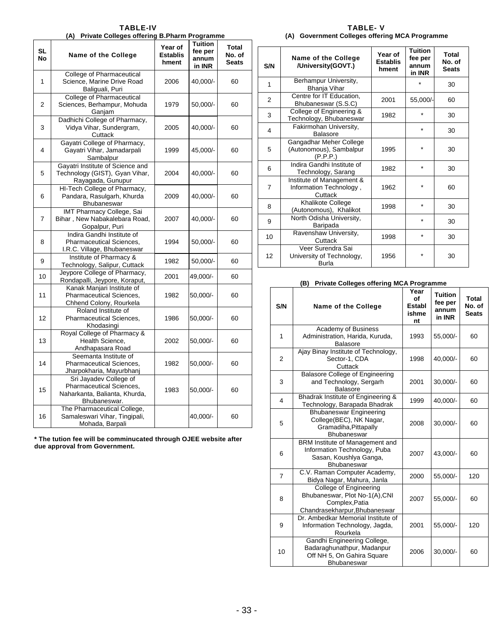**TABLE-IV (A) Private Colleges offering B.Pharm Programme SL No Name of the College Year of Establis hment Tuition fee per annum in INR Total No. of Seats**  1 College of Pharmaceutical Science, Marine Drive Road Baliguali, Puri 2006 40,000/- 60 2 College of Pharmaceutical Sciences, Berhampur, Mohuda Ganjam 1979 50,000/- 60 3 Dadhichi College of Pharmacy, Vidya Vihar, Sundergram, **Cuttack** 2005 40,000/- 60 4 Gayatri College of Pharmacy, Gayatri Vihar, Jamadarpali Sambalpur 1999 45,000/- 60 5 Gayatri Institute of Science and Technology (GIST), Gyan Vihar, Rayagada, Gunupur 2004 40,000/- 60 6 HI-Tech College of Pharmacy, Pandara, Rasulgarh, Khurda **Bhubaneswar** 2009 40,000/- 60 7 IMT Pharmacy College, Sai Bihar , New Nabakalebara Road, Gopalpur, Puri 2007 40,000/- 60 8 Indira Gandhi Institute of Pharmaceutical Sciences, I.R.C. Village, Bhubaneswar 1994 50,000/- 60 9 Institute of Pharmacy & Thisulate of Pharmacy &<br>Technology, Salipur, Cuttack 1982 50,000/- 60 10 Jeypore College of Pharmacy, Jeypore College of Pharmacy, 2001 49,000/- 60<br>Rondapalli, Jeypore, Koraput, 2001 49,000/-11 Kanak Manjari Institute of Pharmaceutical Sciences, Chhend Colony, Rourkela 1982 50,000/- 60 12 Roland Institute of Pharmaceutical Sciences, Khodasingi 1986 50,000/- 60 13 Royal College of Pharmacy & Health Science, Andhapasara Road 2002 50,000/- 60 14 Seemanta Institute of Pharmaceutical Sciences, Jharpokharia, Mayurbhanj 1982 50,000/- 60 15 Sri Jayadev College of Pharmaceutical Sciences, Naharkanta, Balianta, Khurda, Bhubaneswar. 1983 50,000/- 60 16 The Pharmaceutical College, Samaleswari Vihar, Tingipali, Mohada, Barpali 40,000/- 60

**\* The tution fee will be comminucated through OJEE website after due approval from Government.** 

#### **TABLE- V (A) Government Colleges offering MCA Programme**

| S/N            | Name of the College<br>/University(GOVT.)                       | Year of<br><b>Establis</b><br>hment | <b>Tuition</b><br>fee per<br>annum<br>in INR | Total<br>No. of<br><b>Seats</b> |
|----------------|-----------------------------------------------------------------|-------------------------------------|----------------------------------------------|---------------------------------|
| 1              | Berhampur University,<br>Bhanja Vihar                           |                                     |                                              | 30                              |
| 2              | Centre for IT Education,<br>Bhubaneswar (S.S.C)                 | 2001                                | 55,000/-                                     | 60                              |
| 3              | College of Engineering &<br>Technology, Bhubaneswar             | 1982                                | $\star$                                      | 30                              |
| 4              | Fakirmohan University,<br><b>Balasore</b>                       |                                     | $\star$                                      | 30                              |
| 5              | Gangadhar Meher College<br>(Autonomous), Sambalpur<br>(P.P.P.)  | 1995                                | $\star$                                      | 30                              |
| 6              | Indira Gandhi Institute of<br>Technology, Sarang                | 1982                                | $\star$                                      | 30                              |
| $\overline{7}$ | Institute of Management &<br>Information Technology,<br>Cuttack | 1962                                | *                                            | 60                              |
| 8              | Khalikote College<br>(Autonomous), Khalikot                     | 1998                                | $\star$                                      | 30                              |
| 9              | North Odisha University,<br>Baripada                            |                                     | $\star$                                      | 30                              |
| 10             | Ravenshaw University,<br>Cuttack                                | 1998                                | $\star$                                      | 30                              |
| 12             | Veer Surendra Sai<br>University of Technology,<br>Burla         | 1956                                | $\star$                                      | 30                              |

#### **(B) Private Colleges offering MCA Programme**

| S/N            | <b>Name of the College</b>                                                                                      | Year<br>of<br>Establ<br>ishme<br>nt | <b>Tuition</b><br>fee per<br>annum<br>in INR | <b>Total</b><br>No. of<br><b>Seats</b> |
|----------------|-----------------------------------------------------------------------------------------------------------------|-------------------------------------|----------------------------------------------|----------------------------------------|
| 1              | Academy of Business<br>Administration, Harida, Kuruda,<br><b>Balasore</b>                                       | 1993                                | 55,000/-                                     | 60                                     |
| $\overline{2}$ | Ajay Binay Institute of Technology,<br>Sector-1, CDA<br>Cuttack                                                 | 1998                                | 40,000/-                                     | 60                                     |
| 3              | <b>Balasore College of Engineering</b><br>and Technology, Sergarh<br><b>Balasore</b>                            | 2001                                | 30,000/-                                     | 60                                     |
| 4              | Bhadrak Institute of Engineering &<br>Technology, Barapada Bhadrak                                              | 1999                                | 40,000/-                                     | 60                                     |
| 5              | <b>Bhubaneswar Engineering</b><br>College(BEC), NK Nagar,<br>Gramadiha, Pittapally<br><b>Bhubaneswar</b>        | 2008                                | 30,000/-                                     | 60                                     |
| 6              | BRM Institute of Management and<br>Information Technology, Puba<br>Sasan, Koushiya Ganga,<br><b>Bhubaneswar</b> | 2007                                | 43,000/-                                     | 60                                     |
| $\overline{7}$ | C.V. Raman Computer Academy,<br>Bidya Nagar, Mahura, Janla                                                      | 2000                                | 55,000/-                                     | 120                                    |
| 8              | College of Engineering<br>Bhubaneswar, Plot No-1(A), CNI<br>Complex, Patia<br>Chandrasekharpur, Bhubaneswar     | 2007                                | 55,000/-                                     | 60                                     |
| 9              | Dr. Ambedkar Memorial Institute of<br>Information Technology, Jagda,<br>Rourkela                                | 2001                                | 55,000/-                                     | 120                                    |
| 10             | Gandhi Engineering College,<br>Badaraghunathpur, Madanpur<br>Off NH 5, On Gahira Square<br><b>Bhubaneswar</b>   | 2006                                | 30,000/-                                     | 60                                     |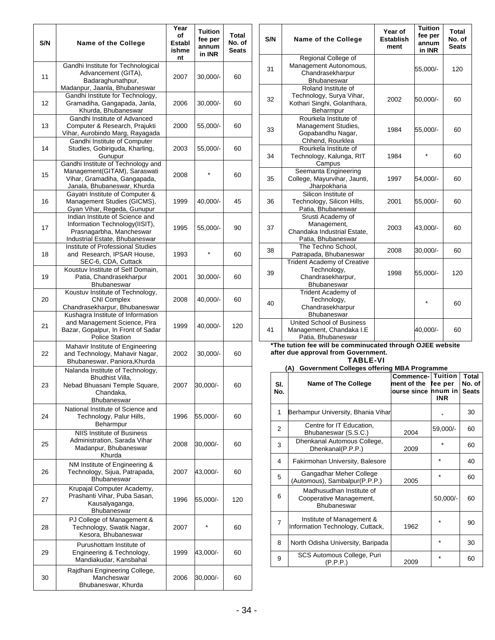| S/N | Name of the College                                                                                                              | Year<br>of<br><b>Establ</b><br>ishme | <b>Tuition</b><br>fee per<br>annum<br>in INR | <b>Total</b><br>No. of<br><b>Seats</b> | S/N            | Name of the College                                                                                                 | Year of<br><b>Establish</b><br>ment        | <b>Tuition</b><br>fee per<br>annum<br>in INR |                                        | <b>Total</b><br>No. of<br><b>Seats</b> |
|-----|----------------------------------------------------------------------------------------------------------------------------------|--------------------------------------|----------------------------------------------|----------------------------------------|----------------|---------------------------------------------------------------------------------------------------------------------|--------------------------------------------|----------------------------------------------|----------------------------------------|----------------------------------------|
| 11  | Gandhi Institute for Technological<br>Advancement (GITA),<br>Badaraghunathpur,                                                   | nt<br>2007                           | $30,000/-$                                   | 60                                     | 31             | Regional College of<br>Management Autonomous,<br>Chandrasekharpur<br><b>Bhubaneswar</b>                             |                                            | 55,000/-                                     |                                        | 120                                    |
| 12  | Madanpur, Jaanla, Bhubaneswar<br>Gandhi Institute for Technology,<br>Gramadiha, Gangapada, Janla,<br>Khurda, Bhubaneswar         | 2006                                 | $30,000/-$                                   | 60                                     | 32             | Roland Institute of<br>Technology, Surya Vihar,<br>Kothari Singhi, Golanthara,<br>Beharmpur                         | 2002                                       | 50,000/                                      |                                        | 60                                     |
| 13  | Gandhi Institute of Advanced<br>Computer & Research, Prajukti<br>Vihar, Aurobindo Marg, Rayagada<br>Gandhi Institute of Computer | 2000                                 | 55,000/-                                     | 60                                     | 33             | Rourkela Institute of<br>Management Studies,<br>Gopabandhu Nagar,<br>Chhend, Rourklea                               | 1984                                       | 55,000/-                                     |                                        | 60                                     |
| 14  | Studies, Gobiriguda, Kharling,<br>Gunupur<br>Gandhi Institute of Technology and                                                  | 2003                                 | 55,000/-                                     | 60                                     | 34             | Rourkela Institute of<br>Technology, Kalunga, RIT<br>Campus                                                         | 1984                                       | $\star$                                      |                                        | 60                                     |
| 15  | Management(GITAM), Saraswati<br>Vihar, Gramadiha, Gangapada,<br>Janala, Bhubaneswar, Khurda                                      | 2008                                 | $\star$                                      | 60                                     | 35             | Seemanta Engineering<br>College, Mayurvihar, Jaunti,<br>Jharpokharia                                                | 1997                                       | 54,000/-                                     |                                        | 60                                     |
| 16  | Gayatri Institute of Computer &<br>Management Studies (GICMS),<br>Gyan Vihar, Regeda, Gunupur                                    | 1999                                 | 40,000/-                                     | 45                                     | 36             | Silicon Institute of<br>Technology, Silicon Hills,<br>Patia, Bhubaneswar                                            | 2001                                       | 55,000/-                                     |                                        | 60                                     |
| 17  | Indian Institute of Science and<br>Information Technology(IISIT),<br>Prasnagarbha, Mancheswar<br>Industrial Estate, Bhubaneswar  | 1995                                 | 55,000/-                                     | 90                                     | 37             | Srusti Academy of<br>Management,<br>Chandaka Industrial Estate,<br>Patia, Bhubaneswar                               | 2003                                       | 43,000/-                                     |                                        | 60                                     |
| 18  | Institute of Professional Studies<br>and Research, IPSAR House,<br>SEC-6, CDA, Cuttack                                           | 1993                                 | $\star$                                      | 60                                     | 38             | The Techno School,<br>Patrapada, Bhubaneswar<br><b>Trident Academy of Creative</b>                                  | 2008                                       | 30,000/-                                     |                                        | 60                                     |
| 19  | Koustuv Institute of Self Domain,<br>Patia, Chandrasekharpur<br>Bhubaneswar                                                      | 2001                                 | $30,000/-$                                   | 60                                     | 39             | Technology,<br>Chandrasekharpur,<br>Bhubaneswar                                                                     | 1998                                       | 55,000/-                                     |                                        | 120                                    |
| 20  | Koustuv Institute of Technology,<br><b>CNI Complex</b><br>Chandrasekharpur, Bhubaneswar                                          | 2008                                 | 40,000/-                                     | 60                                     | 40             | Trident Academy of<br>Technology,<br>Chandrasekharpur                                                               |                                            | $\star$                                      |                                        | 60                                     |
| 21  | Kushagra Institute of Information<br>and Management Science, Pira<br>Bazar, Gopalpur, In Front of Sadar<br><b>Police Station</b> | 1999                                 | 40,000/-                                     | 120                                    | 41             | Bhubaneswar<br>United School of Business<br>Management, Chandaka I.E<br>Patia, Bhubaneswar                          |                                            | 40,000/-                                     |                                        | 60                                     |
| 22  | Mahavir Institute of Engineering<br>and Technology, Mahavir Nagar,<br>Bhubaneswar, Paniora, Khurda                               | 2002                                 | $30,000/-$                                   | 60                                     |                | *The tution fee will be comminucated through OJEE website<br>after due approval from Government.<br><b>TABLE-VI</b> |                                            |                                              |                                        |                                        |
|     | Nalanda Institute of Technology,                                                                                                 |                                      |                                              |                                        |                | (A) Government Colleges offering MBA Programme                                                                      |                                            |                                              |                                        |                                        |
| 23  | Bhudhist Villa,<br>Nebad Bhuasani Temple Square,<br>Chandaka,<br>Bhubaneswar                                                     | 2007                                 | 30,000/-                                     | 60                                     | SI.<br>No.     | <b>Name of The College</b>                                                                                          | ment of the fee per<br>ourse since nnum in |                                              | <b>Commence-</b> Tuition<br><b>INR</b> | Total<br>No. of<br><b>Seats</b>        |
| 24  | National Institute of Science and<br>Technology, Palur Hills,<br>Beharmpur                                                       | 1996                                 | 55,000/-                                     | 60                                     | 1              | Berhampur University, Bhania Vihar                                                                                  |                                            |                                              |                                        | 30                                     |
|     | <b>NIIS Institute of Business</b>                                                                                                |                                      |                                              |                                        | 2              | Centre for IT Education,<br>Bhubaneswar (S.S.C.)                                                                    | 2004                                       |                                              | 59,000/-                               | 60                                     |
| 25  | Administration, Sarada Vihar<br>Madanpur, Bhubaneswar<br>Khurda                                                                  | 2008                                 | 30,000/-                                     | 60                                     | 3              | Dhenkanal Automous College,<br>Dhenkanal(P.P.P.)                                                                    | 2009                                       |                                              | $\star$                                | 60                                     |
| 26  | NM Institute of Engineering &<br>Technology, Sijua, Patrapada,                                                                   | 2007                                 | 43,000/-                                     | 60                                     | 4              | Fakirmohan University, Balesore                                                                                     |                                            |                                              | $\star$                                | 40                                     |
|     | Bhubaneswar                                                                                                                      |                                      |                                              |                                        | 5              | Gangadhar Meher College<br>(Automous), Sambalpur(P.P.P.)                                                            | 2005                                       |                                              | $\star$                                | 60                                     |
| 27  | Krupajal Computer Academy,<br>Prashanti Vihar, Puba Sasan,<br>Kausalyaganga,<br>Bhubaneswar                                      | 1996                                 | 55,000/-                                     | 120                                    | 6              | Madhusudhan Institute of<br>Cooperative Management,<br>Bhubaneswar                                                  |                                            |                                              | 50,000/-                               | 60                                     |
| 28  | PJ College of Management &<br>Technology, Swatik Nagar,<br>Kesora, Bhubaneswar                                                   | 2007                                 | *                                            | 60                                     | $\overline{7}$ | Institute of Management &<br>Information Technology, Cuttack,                                                       | 1962                                       |                                              | $\star$                                | 90                                     |
| 29  | Purushottam Institute of<br>Engineering & Technology,                                                                            | 1999                                 | 43,000/-                                     | 60                                     | 8              | North Odisha University, Baripada                                                                                   |                                            |                                              | $\star$                                | 30                                     |
|     | Mandiakudar, Kansbahal                                                                                                           |                                      |                                              |                                        | 9              | SCS Automous College, Puri<br>(P.P.P.)                                                                              | 2009                                       |                                              | $\star$                                | 60                                     |
| 30  | Rajdhani Engineering College,<br>Mancheswar<br>Bhubaneswar, Khurda                                                               | 2006                                 | 30,000/-                                     | 60                                     |                |                                                                                                                     |                                            |                                              |                                        |                                        |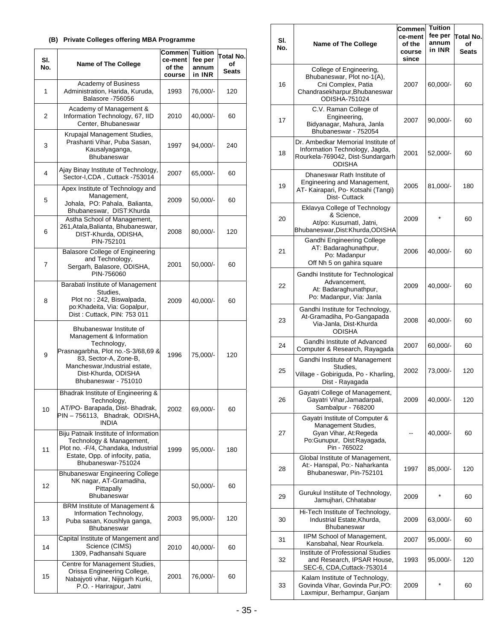### **(B) Private Colleges offering MBA Programme**

| SI.<br>No. | <b>Name of The College</b>                                                                                                                                                                                          | Commen<br>ce-ment<br>of the<br>course | Tuition<br>fee per<br>annum<br>in INR | Total No.<br>οf<br>Seats |
|------------|---------------------------------------------------------------------------------------------------------------------------------------------------------------------------------------------------------------------|---------------------------------------|---------------------------------------|--------------------------|
| 1          | Academy of Business<br>Administration, Harida, Kuruda,<br><b>Balasore -756056</b>                                                                                                                                   | 1993                                  | 76,000/-                              | 120                      |
| 2          | Academy of Management &<br>Information Technology, 67, IID<br>Center, Bhubaneswar                                                                                                                                   | 2010                                  | 40,000/-                              | 60                       |
| 3          | Krupajal Management Studies,<br>Prashanti Vihar, Puba Sasan,<br>Kausalyaganga,<br>Bhubaneswar                                                                                                                       | 1997                                  | 94,000/-                              | 240                      |
| 4          | Ajay Binay Institute of Technology,<br>Sector-I,CDA, Cuttack -753014                                                                                                                                                | 2007                                  | 65,000/-                              | 60                       |
| 5          | Apex Institute of Technology and<br>Management,<br>Johala, PO: Pahala, Balianta,<br>Bhubaneswar, DIST:Khurda                                                                                                        | 2009                                  | 50,000/-                              | 60                       |
| 6          | Astha School of Management,<br>261, Atala, Balianta, Bhubaneswar,<br>DIST-Khurda, ODISHA,<br>PIN-752101                                                                                                             | 2008                                  | 80,000/-                              | 120                      |
| 7          | Balasore College of Engineering<br>and Technology,<br>Sergarh, Balasore, ODISHA,<br>PIN-756060                                                                                                                      | 2001                                  | 50,000/-                              | 60                       |
| 8          | Barabati Institute of Management<br>Studies,<br>Plot no: 242, Biswalpada,<br>po:Khadeita, Via: Gopalpur,<br>Dist: Cuttack, PIN: 753 011                                                                             | 2009                                  | 40,000/-                              | 60                       |
| 9          | Bhubaneswar Institute of<br>Management & Information<br>Technology,<br>Prasnagarbha, Plot no.-S-3/68,69 &<br>83, Sector-A, Zone-B,<br>Mancheswar, Industrial estate,<br>Dist-Khurda, ODISHA<br>Bhubaneswar - 751010 | 1996                                  | 75,000/-                              | 120                      |
| 10         | Bhadrak Institute of Engineering &<br>Technology,<br>AT/PO-Barapada, Dist-Bhadrak,<br>PIN-756113, Bhadrak, ODISHA,<br><b>INDIA</b>                                                                                  | 2002                                  | 69,000/-                              | 60                       |
| 11         | Biju Patnaik Institute of Information<br>Technology & Management,<br>Plot no. - F/4, Chandaka, Industrial<br>Estate, Opp. of infocity, patia,<br>Bhubaneswar-751024                                                 | 1999                                  | 95,000/-                              | 180                      |
| 12         | Bhubaneswar Engineering College<br>NK nagar, AT-Gramadiha,<br>Pittapally<br><b>Bhubaneswar</b>                                                                                                                      |                                       | 50,000/-                              | 60                       |
| 13         | BRM Institute of Management &<br>Information Technology,<br>Puba sasan, Koushlya ganga,<br><b>Bhubaneswar</b>                                                                                                       | 2003                                  | $95,000/-$                            | 120                      |
| 14         | Capital Institute of Mangement and<br>Science (CIMS)<br>1309, Padhansahi Square                                                                                                                                     | 2010                                  | 40,000/-                              | 60                       |
| 15         | Centre for Management Studies,<br>Orissa Engineering College,<br>Nabajyoti vihar, Nijigarh Kurki,<br>P.O. - Harirajpur, Jatni                                                                                       | 2001                                  | 76,000/-                              | 60                       |

| SI.<br>No. | Name of The College                                                                                                           | Commen<br>ce-ment<br>of the<br>course<br>since | Tuition<br>fee per<br>annum<br>in INR | Total No.<br>οf<br>Seats |
|------------|-------------------------------------------------------------------------------------------------------------------------------|------------------------------------------------|---------------------------------------|--------------------------|
| 16         | College of Engineering,<br>Bhubaneswar, Plot no-1(A),<br>Cni Complex, Patia<br>Chandrasekharpur, Bhubaneswar<br>ODISHA-751024 | 2007                                           | 60,000/-                              | 60                       |
| 17         | C.V. Raman College of<br>Engineering,<br>Bidyanagar, Mahura, Janla<br>Bhubaneswar - 752054                                    | 2007                                           | 90,000/-                              | 60                       |
| 18         | Dr. Ambedkar Memorial Institute of<br>Information Technology, Jagda,<br>Rourkela-769042, Dist-Sundargarh<br><b>ODISHA</b>     | 2001                                           | 52,000/-                              | 60                       |
| 19         | Dhaneswar Rath Institute of<br>Engineering and Management,<br>AT- Kairapari, Po- Kotsahi (Tangi)<br>Dist-Cuttack              | 2005                                           | 81,000/-                              | 180                      |
| 20         | Eklavya College of Technology<br>& Science.<br>At/po: Kusumatl, Jatni,<br>Bhubaneswar, Dist: Khurda, ODISHA                   | 2009                                           |                                       | 60                       |
| 21         | Gandhi Engineering College<br>AT: Badaraghunathpur,<br>Po: Madanpur<br>Off Nh 5 on gahira square                              | 2006                                           | 40,000/-                              | 60                       |
| 22         | Gandhi Institute for Technological<br>Advancement,<br>At: Badaraghunathpur,<br>Po: Madanpur, Via: Janla                       | 2009                                           | 40,000/-                              | 60                       |
| 23         | Gandhi Institute for Technology,<br>At-Gramadiha, Po-Gangapada<br>Via-Janla, Dist-Khurda<br>ODISHA                            | 2008                                           | 40,000/-                              | 60                       |
| 24         | Gandhi Institute of Advanced<br>Computer & Research, Rayagada                                                                 | 2007                                           | 60,000/-                              | 60                       |
| 25         | Gandhi Institute of Management<br>Studies,<br>Village - Gobiriguda, Po - Kharling,<br>Dist - Rayagada                         | 2002                                           | 73,000/-                              | 120                      |
| 26         | Gayatri College of Management,<br>Gavatri Vihar.Jamadarpali.<br>Sambalpur - 768200                                            | 2009                                           | 40,000/-                              | 120                      |
| 27         | Gayatri Institute of Computer &<br>Management Studies,<br>Gyan Vihar, At:Regeda<br>Po:Gunupur, Dist:Rayagada,<br>Pin - 765022 |                                                | 40,000/-                              | 60                       |
| 28         | Global Institute of Management,<br>At:- Hanspal, Po:- Naharkanta<br>Bhubaneswar, Pin-752101                                   | 1997                                           | 85,000/-                              | 120                      |
| 29         | Gurukul Instiitute of Technology,<br>Jamujhari, Chhatabar                                                                     | 2009                                           |                                       | 60                       |
| 30         | Hi-Tech Institute of Technology,<br>Industrial Estate, Khurda,<br>Bhubaneswar                                                 | 2009                                           | 63,000/-                              | 60                       |
| 31         | IIPM School of Management,<br>Kansbahal, Near Rourkela.                                                                       | 2007                                           | 95,000/-                              | 60                       |
| 32         | Institute of Professional Studies<br>and Research, IPSAR House,<br>SEC-6, CDA, Cuttack-753014                                 | 1993                                           | 95,000/-                              | 120                      |
| 33         | Kalam Institute of Technology,<br>Govinda Vihar, Govinda Pur, PO:<br>Laxmipur, Berhampur, Ganjam                              | 2009                                           |                                       | 60                       |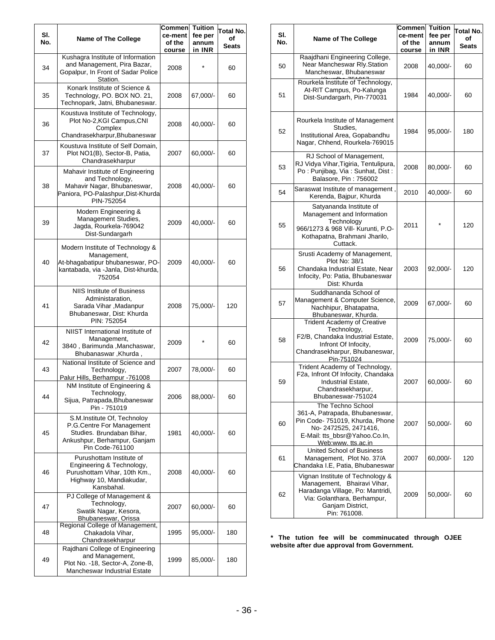| SI.<br>No. | Name of The College                                                                                                                      | Commen<br>ce-ment<br>of the<br>course | Tuition<br>fee per<br>annum<br>in INR | Total No.<br>οf<br>Seats |
|------------|------------------------------------------------------------------------------------------------------------------------------------------|---------------------------------------|---------------------------------------|--------------------------|
| 34         | Kushagra Institute of Information<br>and Management, Pira Bazar,<br>Gopalpur, In Front of Sadar Police<br>Station.                       | 2008                                  |                                       | 60                       |
| 35         | Konark Institute of Science &<br>Technology, PO. BOX NO. 21,<br>Technopark, Jatni, Bhubaneswar.                                          | 2008                                  | 67,000/-                              | 60                       |
| 36         | Koustuva Institute of Technology,<br>Plot No-2, KGI Campus, CNI<br>Complex<br>Chandrasekharpur, Bhubaneswar                              | 2008                                  | 40,000/-                              | 60                       |
| 37         | Koustuva Institute of Self Domain,<br>Plot NO1(B), Sector-B, Patia,<br>Chandrasekharpur                                                  | 2007                                  | 60,000/-                              | 60                       |
| 38         | Mahavir Institute of Engineering<br>and Technology,<br>Mahavir Nagar, Bhubaneswar,<br>Paniora, PO-Palashpur, Dist-Khurda<br>PIN-752054   | 2008                                  | 40,000/-                              | 60                       |
| 39         | Modern Engineering &<br>Management Studies,<br>Jagda, Rourkela-769042<br>Dist-Sundargarh                                                 | 2009                                  | 40,000/-                              | 60                       |
| 40         | Modern Institute of Technology &<br>Management,<br>At-bhagabatipur bhubaneswar, PO-<br>kantabada, via -Janla, Dist-khurda,<br>752054     | 2009                                  | 40,000/-                              | 60                       |
| 41         | NIIS Institute of Business<br>Administaration,<br>Sarada Vihar , Madanpur<br>Bhubaneswar, Dist: Khurda<br>PIN: 752054                    | 2008                                  | 75,000/-                              | 120                      |
| 42         | NIIST International Institute of<br>Management,<br>3840, Barimunda, Manchaswar,<br>Bhubanaswar, Khurda,                                  | 2009                                  | $\star$                               | 60                       |
| 43         | National Institute of Science and<br>Technology,<br>Palur Hills, Berhampur -761008<br>NM Institute of Engineering &                      | 2007                                  | 78,000/-                              | 60                       |
| 44         | Technology,<br>Sijua, Patrapada, Bhubaneswar<br>Pin - 751019                                                                             | 2006                                  | 88,000/-                              | 60                       |
| 45         | S.M.Institute Of, Technoloy<br>P.G.Centre For Management<br>Studies. Brundaban Bihar.<br>Ankushpur, Berhampur, Ganjam<br>Pin Code-761100 | 1981                                  | 40,000/-                              | 60                       |
| 46         | Purushottam Institute of<br>Engineering & Technology,<br>Purushottam Vihar, 10th Km.,<br>Highway 10, Mandiakudar,<br>Kansbahal.          | 2008                                  | 40,000/-                              | 60                       |
| 47         | PJ College of Management &<br>Technology,<br>Swatik Nagar, Kesora,<br>Bhubaneswar, Orissa                                                | 2007                                  | 60,000/-                              | 60                       |
| 48         | Regional College of Management,<br>Chakadola Vihar,<br>Chandrasekharpur                                                                  | 1995                                  | 95,000/-                              | 180                      |
| 49         | Rajdhani College of Engineering<br>and Management,<br>Plot No. -18, Sector-A, Zone-B,<br><b>Mancheswar Industrial Estate</b>             | 1999                                  | 85,000/-                              | 180                      |

| SI.<br>No. | Name of The College                                                                                                                                                    | Commen<br>ce-ment<br>of the<br>course | <b>Tuition</b><br>fee per<br>annum<br>in INR | Total No.<br>οf<br>Seats |
|------------|------------------------------------------------------------------------------------------------------------------------------------------------------------------------|---------------------------------------|----------------------------------------------|--------------------------|
| 50         | Raajdhani Engineering College,<br>Near Mancheswar Rly.Station<br>Mancheswar, Bhubaneswar                                                                               | 2008                                  | 40,000/-                                     | 60                       |
| 51         | Rourkela Institute of Technology,<br>At-RIT Campus, Po-Kalunga<br>Dist-Sundargarh, Pin-770031                                                                          | 1984                                  | 40,000/-                                     | 60                       |
| 52         | Rourkela Institute of Management<br>Studies,<br>Institutional Area, Gopabandhu<br>Nagar, Chhend, Rourkela-769015                                                       | 1984                                  | 95,000/-                                     | 180                      |
| 53         | RJ School of Management,<br>RJ Vidya Vihar, Tigiria, Tentulipura,<br>Po : Punjibag, Via : Sunhat, Dist :<br>Balasore, Pin: 756002                                      | 2008                                  | 80,000/-                                     | 60                       |
| 54         | Saraswat Institute of management,<br>Kerenda, Bajpur, Khurda                                                                                                           | 2010                                  | 40,000/-                                     | 60                       |
| 55         | Satyananda Institute of<br>Management and Information<br>Technology<br>966/1273 & 968 Vill- Kurunti, P.O-<br>Kothapatna, Brahmani Jharilo,<br>Cuttack.                 | 2011                                  |                                              | 120                      |
| 56         | Srusti Academy of Management,<br>Plot No: 38/1<br>Chandaka Industrial Estate, Near<br>Infocity, Po: Patia, Bhubaneswar<br>Dist: Khurda                                 | 2003                                  | $92,000/-$                                   | 120                      |
| 57         | Suddhananda School of<br>Management & Computer Science,<br>Nachhipur, Bhatapatna,<br>Bhubaneswar, Khurda.                                                              | 2009                                  | 67,000/-                                     | 60                       |
| 58         | <b>Trident Academy of Creative</b><br>Technology,<br>F2/B, Chandaka Industrial Estate,<br>Infront Of Infocity,<br>Chandrasekharpur, Bhubaneswar,<br>Pin-751024         | 2009                                  | 75,000/-                                     | 60                       |
| 59         | Trident Academy of Technology,<br>F2a, Infront Of Infocity, Chandaka<br>Industrial Estate,<br>Chandrasekharpur,<br>Bhubaneswar-751024                                  | 2007                                  | 60,000/-                                     | 60                       |
| 60         | The Techno School<br>361-A, Patrapada, Bhubaneswar,<br>Pin Code- 751019, Khurda, Phone<br>No-2472525, 2471416,<br>E-Mail: tts_bbsr@Yahoo.Co.In,<br>Web:www.tts.ac.in   | 2007                                  | 50,000/-                                     | 60                       |
| 61         | United School of Business<br>Management, Plot No. 37/A<br>Chandaka I.E, Patia, Bhubaneswar                                                                             | 2007                                  | 60,000/-                                     | 120                      |
| 62         | Vignan Institute of Technology &<br>Management, Bhairavi Vihar,<br>Haradanga Village, Po: Mantridi,<br>Via: Golanthara, Berhampur,<br>Ganjam District,<br>Pin: 761008. | 2009                                  | 50,000/-                                     | 60                       |

**\* The tution fee will be comminucated through OJEE website after due approval from Government.**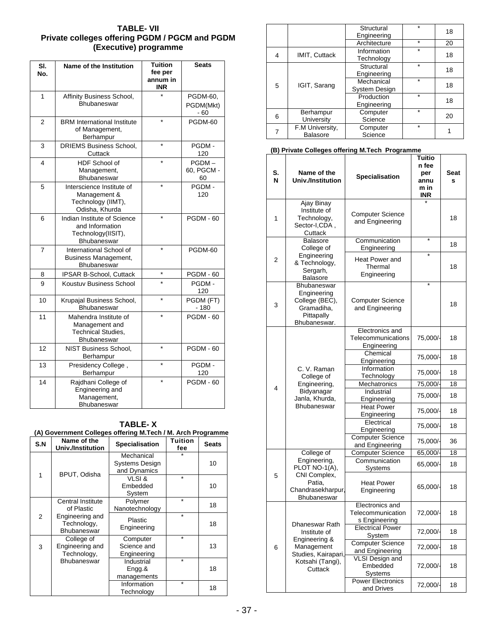### **TABLE- VII Private colleges offering PGDM / PGCM and PGDM (Executive) programme**

| SI.<br>No. | Name of the Institution                                                             | <b>Tuition</b><br>fee per<br>annum in<br>INR | <b>Seats</b>                  |
|------------|-------------------------------------------------------------------------------------|----------------------------------------------|-------------------------------|
| 1          | Affinity Business School,<br>Bhubaneswar                                            |                                              | PGDM-60,<br>PGDM(Mkt)<br>- 60 |
| 2          | <b>BRM</b> International Institute<br>of Management,<br>Berhampur                   | $\star$                                      | PGDM-60                       |
| 3          | <b>DRIEMS Business School.</b><br>Cuttack                                           | $\star$                                      | PGDM-<br>120                  |
| 4          | HDF School of<br>Management,<br>Bhubaneswar                                         |                                              | PGDM-<br>60, PGCM -<br>60     |
| 5          | Interscience Institute of<br>Management &<br>Technology (IIMT),<br>Odisha, Khurda   | $\star$                                      | PGDM-<br>120                  |
| 6          | Indian Institute of Science<br>and Information<br>Technology(IISIT),<br>Bhubaneswar | $\star$                                      | <b>PGDM - 60</b>              |
| 7          | International School of<br>Business Management,<br>Bhubaneswar                      | $\star$                                      | PGDM-60                       |
| 8          | IPSAR B-School, Cuttack                                                             | $\star$                                      | <b>PGDM - 60</b>              |
| 9          | Koustuv Business School                                                             | $\star$                                      | PGDM-<br>120                  |
| 10         | Krupajal Business School,<br>Bhubaneswar                                            | $\star$                                      | PGDM (FT)<br>$-180$           |
| 11         | Mahendra Institute of<br>Management and<br><b>Technical Studies,</b><br>Bhubaneswar | $\star$                                      | <b>PGDM - 60</b>              |
| 12         | NIST Business School,<br>Berhampur                                                  | $\star$                                      | <b>PGDM - 60</b>              |
| 13         | Presidency College,<br>Berhampur                                                    | $\star$                                      | PGDM-<br>120                  |
| 14         | Rajdhani College of<br>Engineering and<br>Management,<br>Bhubaneswar                | $\star$                                      | <b>PGDM - 60</b>              |

| $\cdot$ $\cdot$<br>S.N | Name of the<br>Univ./Institution              | <b>Specialisation</b>                  | Tuition<br>fee | <b>Seats</b> |
|------------------------|-----------------------------------------------|----------------------------------------|----------------|--------------|
|                        |                                               | Mechanical<br><b>Systems Design</b>    |                | 10           |
| 1                      | BPUT, Odisha                                  | and Dynamics                           |                |              |
|                        |                                               | VLSI&<br>Embedded<br>System            | $\star$        | 10           |
|                        | <b>Central Institute</b><br>of Plastic        | Polymer<br>Nanotechnology              | $\star$        | 18           |
| 2                      | Engineering and<br>Technology,<br>Bhubaneswar | Plastic<br>Engineering                 | $\star$        | 18           |
| 3                      | College of<br>Engineering and<br>Technology,  | Computer<br>Science and<br>Engineering | $\star$        | 13           |
|                        | Bhubaneswar                                   | Industrial<br>Engg.&<br>managements    | $\star$        | 18           |
|                        |                                               | Information<br>Technology              | $\star$        | 18           |

### **TABLE- X (A) Government Colleges offering M.Tech / M. Arch Programme**

|   |                                    | Structural<br>Engineering          | ÷       | 18 |
|---|------------------------------------|------------------------------------|---------|----|
|   |                                    | Architecture                       | $\star$ | 20 |
| 4 | IMIT, Cuttack                      | Information<br>Technology          | ÷       | 18 |
|   |                                    | Structural<br>Engineering          | ÷       | 18 |
| 5 | IGIT, Sarang                       | Mechanical<br><b>System Design</b> | ÷       | 18 |
|   |                                    | Production<br>Engineering          | ÷       | 18 |
| 6 | Berhampur<br>University            | Computer<br>Science                | ÷       | 20 |
| 7 | F.M University,<br><b>Balasore</b> | Computer<br>Science                | ÷       |    |

#### **(B) Private Colleges offering M.Tech Programme**

| S.<br>N | Name of the<br><b>Univ./Institution</b>                                                         | Specialisation                                        | Tuitio<br>n fee<br>per<br>annu<br>m in<br><b>INR</b> | Seat<br>s |
|---------|-------------------------------------------------------------------------------------------------|-------------------------------------------------------|------------------------------------------------------|-----------|
| 1       | Ajay Binay<br>Institute of<br>Technology,<br>Sector-I,CDA,<br>Cuttack                           | <b>Computer Science</b><br>and Engineering            |                                                      | 18        |
|         | <b>Balasore</b><br>College of                                                                   | Communication<br>Engineering                          | $\star$                                              | 18        |
| 2       | Engineering<br>& Technology,<br>Sergarh,<br>Balasore                                            | Heat Power and<br>Thermal<br>Engineering              | $\star$                                              | 18        |
| 3       | <b>Bhubaneswar</b><br>Engineering<br>College (BEC),<br>Gramadiha,<br>Pittapally<br>Bhubaneswar. | Computer Science<br>and Engineering                   | $\star$                                              | 18        |
|         |                                                                                                 | Electronics and<br>Telecommunications<br>Engineering  | 75,000/                                              | 18        |
|         | C. V. Raman<br>College of<br>Engineering,<br>Bidyanagar                                         | Chemical<br>Engineering<br>Information                | 75,000/-                                             | 18        |
|         |                                                                                                 | Technology                                            | 75,000/-                                             | 18        |
| 4       |                                                                                                 | Mechatronics<br>Industrial                            | 75,000/-                                             | 18        |
|         | Janla, Khurda,                                                                                  | Engineering                                           | 75,000/-                                             | 18        |
|         | <b>Bhubaneswar</b>                                                                              | <b>Heat Power</b><br>Engineering                      | 75,000/-                                             | 18        |
|         |                                                                                                 | Electrical<br>Engineering                             | 75,000/-                                             | 18        |
|         |                                                                                                 | <b>Computer Science</b><br>and Engineering            | 75,000/-                                             | 36        |
|         | College of                                                                                      | <b>Computer Science</b>                               | 65,000/ <del>-</del>                                 | 18        |
|         | Engineering,<br>PLOT NO-1(A),                                                                   | Communication<br>Systems                              | 65,000/-                                             | 18        |
| 5       | CNI Complex,<br>Patia.<br>Chandrasekharpur,<br>Bhubaneswar                                      | <b>Heat Power</b><br>Engineering                      | 65,000/-                                             | 18        |
|         | Dhaneswar Rath                                                                                  | Electronics and<br>Telecommunication<br>s Engineering | 72,000/-                                             | 18        |
|         | Institute of<br>Engineering &                                                                   | <b>Electrical Power</b><br>System                     | 72,000/-                                             | 18        |
| 6       | Management<br>Studies, Kairapari,                                                               | <b>Computer Science</b><br>and Engineering            | 72,000/-                                             | 18        |
|         | Kotsahi (Tangi),<br>Cuttack                                                                     | <b>VLSI Design and</b><br>Embedded<br>Systems         | 72,000/-                                             | 18        |
|         |                                                                                                 | <b>Power Electronics</b><br>and Drives                | 72,000/-                                             | 18        |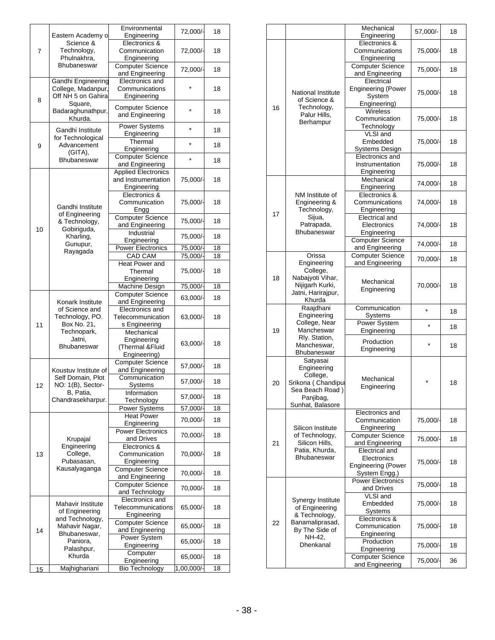|    |                                                                      | Environmental                              | 72,000/            | 18       |
|----|----------------------------------------------------------------------|--------------------------------------------|--------------------|----------|
|    | Eastern Academy o                                                    | Engineering                                |                    |          |
|    | Science &<br>Technology,<br>Phulnakhra,                              | Electronics &<br>Communication             | 72,000/-           | 18       |
| 7  |                                                                      | Engineering                                |                    |          |
|    | Bhubaneswar                                                          | <b>Computer Science</b>                    |                    |          |
|    |                                                                      | and Engineering                            | 72,000/            | 18       |
|    | Gandhi Engineering                                                   | Electronics and                            |                    |          |
|    | College, Madanpur,                                                   | Communications                             |                    | 18       |
| 8  | Off NH 5 on Gahira                                                   | Engineering                                |                    |          |
|    | Square,                                                              | <b>Computer Science</b>                    | $\star$            |          |
|    | Badaraghunathpur,<br>Khurda.                                         | and Engineering                            |                    | 18       |
|    |                                                                      | <b>Power Systems</b>                       |                    |          |
|    | Gandhi Institute                                                     | Engineering                                | $\star$            | 18       |
|    | for Technological<br>Advancement                                     | Thermal                                    | $\star$            |          |
| 9  | (GITA),                                                              | Engineering                                |                    | 18       |
|    | Bhubaneswar                                                          | Computer Science                           | $\star$            | 18       |
|    |                                                                      | and Engineering                            |                    |          |
|    |                                                                      | <b>Applied Electronics</b>                 |                    |          |
|    |                                                                      | and Instrumentation<br>Engineering         | 75,000/-           | 18       |
|    |                                                                      | Electronics &                              |                    |          |
|    |                                                                      | Communication                              | 75,000/-           | 18       |
|    | Gandhi Institute                                                     | Engg                                       |                    |          |
|    | of Engineering                                                       | Computer Science                           |                    | 18       |
| 10 | & Technology,<br>Gobiriguda,                                         | and Engineering                            | 75,000/-           |          |
|    | Kharling,                                                            | Industrial                                 | 75,000/-           | 18       |
|    | Gunupur,                                                             | Engineering                                |                    |          |
|    | Rayagada                                                             | <b>Power Electronics</b><br><b>CAD CAM</b> | 75,000/<br>75,000/ | 18<br>18 |
|    |                                                                      | <b>Heat Power and</b>                      |                    |          |
|    |                                                                      | Thermal                                    | 75,000/            | 18       |
|    |                                                                      | Engineering                                |                    |          |
|    |                                                                      | Machine Design                             | 75,000/            | 18       |
|    | Konark Institute<br>of Science and<br>Technology, PO.<br>Box No. 21, | <b>Computer Science</b>                    | 63,000/-           | 18       |
|    |                                                                      | and Engineering<br>Electronics and         |                    |          |
|    |                                                                      | Telecommunication                          | 63,000/-           | 18       |
| 11 |                                                                      | s Engineering                              |                    |          |
|    | Technopark,                                                          | Mechanical                                 |                    |          |
|    | Jatni,                                                               | Engineering                                | 63,000/-           | 18       |
|    | Bhubaneswar                                                          | (Thermal &Fluid                            |                    |          |
|    |                                                                      | Engineering)                               |                    |          |
|    | Koustuv Institute of                                                 | <b>Computer Science</b><br>and Engineering | 57,000/-           | 18       |
|    | Self Domain, Plot                                                    | Communication                              |                    |          |
| 12 | NO: 1(B), Sector-                                                    | Systems                                    | 57,000/-           | 18       |
|    | B, Patia,                                                            | Information                                | 57,000/-           | 18       |
|    | Chandrasekharpur.                                                    | Technology                                 |                    |          |
|    |                                                                      | Power Systems                              | 57,000/            | 18       |
|    |                                                                      | <b>Heat Power</b><br>Engineering           | 70,000/-           | 18       |
|    |                                                                      | <b>Power Electronics</b>                   |                    |          |
|    | Krupajal                                                             | and Drives                                 | 70,000/-           | 18       |
|    | Engineering                                                          | Electronics &                              |                    |          |
| 13 | College,                                                             | Communication                              | 70,000/-           | 18       |
|    | Pubasasan,                                                           | Engineering                                |                    |          |
|    | Kausalyaganga                                                        | <b>Computer Science</b>                    | 70,000/-           | 18       |
|    |                                                                      | and Engineering<br><b>Computer Science</b> |                    |          |
|    |                                                                      | and Technology                             | 70,000/            | 18       |
|    |                                                                      | Electronics and                            |                    |          |
|    | Mahavir Institute                                                    | Telecommunications                         | 65,000/-           | 18       |
|    | of Engineering<br>and Technology,                                    | Engineering                                |                    |          |
|    | Mahavir Nagar,                                                       | <b>Computer Science</b>                    | 65,000/-           | 18       |
| 14 | Bhubaneswar,                                                         | and Engineering                            |                    |          |
|    | Paniora,                                                             | Power System<br>Engineering                | 65,000/            | 18       |
|    | Palashpur,                                                           | Computer                                   |                    |          |
|    | Khurda                                                               | Engineering                                | 65,000/            | 18       |
| 15 | Majhighariani                                                        | <b>Bio Technology</b>                      | 1,00,000/          | 18       |

|    |                                                                                                               | Mechanical<br>Engineering                                                   | 57,000/- | 18 |
|----|---------------------------------------------------------------------------------------------------------------|-----------------------------------------------------------------------------|----------|----|
|    |                                                                                                               | Electronics &<br>Communications                                             | 75,000/  | 18 |
|    |                                                                                                               | Engineering<br><b>Computer Science</b><br>and Engineering                   | 75,000/- | 18 |
| 16 | <b>National Institute</b><br>of Science &<br>Technology,                                                      | Electrical<br><b>Engineering (Power</b><br>System<br>Engineering)           | 75,000/- | 18 |
|    | Palur Hills,<br>Berhampur                                                                                     | <b>Wireless</b><br>Communication<br>Technology                              | 75,000/- | 18 |
|    |                                                                                                               | VLSI and<br>Embedded<br>Systems Design                                      | 75,000/- | 18 |
|    |                                                                                                               | Electronics and<br>Instrumentation<br>Engineering                           | 75,000/- | 18 |
|    |                                                                                                               | Mechanical<br>Engineering                                                   | 74,000/- | 18 |
| 17 | NM Institute of<br>Engineering &<br>Technology,                                                               | Electronics &<br>Communications<br>Engineering                              | 74,000/- | 18 |
|    | Sijua,<br>Patrapada,<br><b>Bhubaneswar</b>                                                                    | Electrical and<br>Electronics<br>Engineering                                | 74,000/- | 18 |
|    |                                                                                                               | <b>Computer Science</b><br>and Engineering                                  | 74,000/- | 18 |
|    | Orissa<br>Engineering                                                                                         | <b>Computer Science</b><br>and Engineering                                  | 70,000/  | 18 |
| 18 | College,<br>Nabajyoti Vihar,<br>Nijigarh Kurki,<br>Jatni, Harirajpur,<br>Khurda                               | Mechanical<br>Engineering                                                   | 70,000/- | 18 |
|    | Raajdhani<br>Engineering                                                                                      | Communication<br>Systems                                                    | $\star$  | 18 |
| 19 | College, Near<br>Mancheswar                                                                                   | Power System<br>Engineering                                                 | $\star$  | 18 |
|    | Rly. Station,<br>Mancheswar,<br>Bhubaneswar                                                                   | Production<br>Engineering                                                   |          | 18 |
| 20 | Satyasai<br>Engineering<br>College,<br>Srikona (Chandipul<br>Sea Beach Road)<br>Panjibag,<br>Sunhat, Balasore | Mechanical<br>Engineering                                                   |          | 18 |
|    | Silicon Institute                                                                                             | Electronics and<br>Communication<br>Engineering                             | 75,000/- | 18 |
| 21 | of Technology,<br>Silicon Hills,                                                                              | <b>Computer Science</b><br>and Engineering                                  | 75,000/- | 18 |
|    | Patia, Khurda,<br><b>Bhubaneswar</b>                                                                          | Electrical and<br>Electronics<br><b>Engineering (Power</b><br>System Engg.) | 75,000/- | 18 |
|    |                                                                                                               | <b>Power Electronics</b><br>and Drives                                      | 75,000/- | 18 |
|    | Synergy Institute<br>of Engineering                                                                           | VLSI and<br>Embedded<br>Systems                                             | 75,000/- | 18 |
| 22 | & Technology,<br>Banamaliprasad,<br>By The Side of                                                            | Electronics &<br>Communication<br>Engineering                               | 75,000/- | 18 |
|    | NH-42,<br>Dhenkanal                                                                                           | Production<br>Engineering                                                   | 75,000/- | 18 |
|    |                                                                                                               | <b>Computer Science</b><br>and Engineering                                  | 75,000/- | 36 |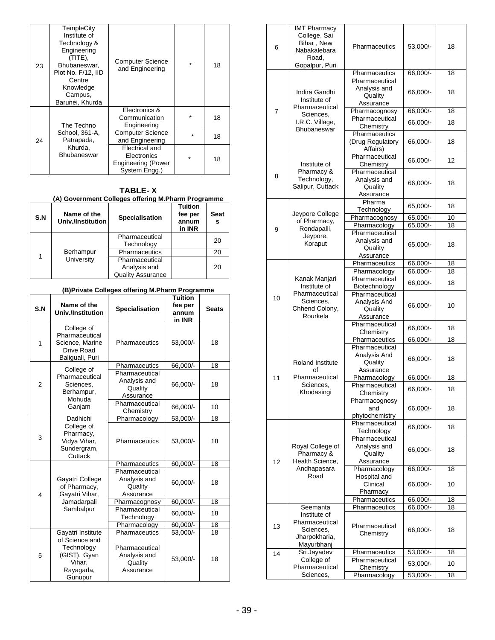| 23 | <b>TempleCity</b><br>Institute of<br>Technology &<br>Engineering<br>(TITE),<br>Bhubaneswar.<br>Plot No. F/12, IID<br>Centre<br>Knowledge<br>Campus,<br>Barunei, Khurda | <b>Computer Science</b><br>and Engineering                                  | $\star$ | 18 |
|----|------------------------------------------------------------------------------------------------------------------------------------------------------------------------|-----------------------------------------------------------------------------|---------|----|
|    | The Techno                                                                                                                                                             | Electronics &<br>Communication<br>Engineering                               |         | 18 |
| 24 | School, 361-A.<br>Patrapada,                                                                                                                                           | <b>Computer Science</b><br>and Engineering                                  | $\star$ | 18 |
|    | Khurda,<br><b>Bhubaneswar</b>                                                                                                                                          | Electrical and<br>Electronics<br><b>Engineering (Power</b><br>System Engg.) | ÷       | 18 |

**TABLE- X** 

|     |                                  | (A) Government Colleges offering M.Pharm Programme         |                                              |                  |
|-----|----------------------------------|------------------------------------------------------------|----------------------------------------------|------------------|
| S.N | Name of the<br>Univ./Institution | Specialisation                                             | <b>Tuition</b><br>fee per<br>annum<br>in INR | <b>Seat</b><br>s |
|     | Berhampur<br>University          | Pharmaceutical<br>Technology                               |                                              | 20               |
|     |                                  | Pharmaceutics                                              |                                              | 20               |
| 1   |                                  | Pharmaceutical<br>Analysis and<br><b>Quality Assurance</b> |                                              | 20               |

| (B)Private Colleges offering M.Pharm Programme |                                                                                  |                                                                                |                                              |              |
|------------------------------------------------|----------------------------------------------------------------------------------|--------------------------------------------------------------------------------|----------------------------------------------|--------------|
| S.N                                            | Name of the<br><b>Univ./Institution</b>                                          | <b>Specialisation</b>                                                          | <b>Tuition</b><br>fee per<br>annum<br>in INR | <b>Seats</b> |
| 1                                              | College of<br>Pharmaceutical<br>Science, Marine<br>Drive Road<br>Baliguali, Puri | Pharmaceutics                                                                  | 53,000/-                                     | 18           |
|                                                |                                                                                  | Pharmaceutics                                                                  | 66,000/-                                     | 18           |
| $\overline{2}$                                 | College of<br>Pharmaceutical<br>Sciences,<br>Berhampur,<br>Mohuda                | Pharmaceutical<br>Analysis and<br>Quality<br>Assurance                         | 66,000/-                                     | 18           |
|                                                | Ganjam                                                                           | Pharmaceutical<br>Chemistry                                                    | 66,000/-                                     | 10           |
|                                                | Dadhichi                                                                         | Pharmacology                                                                   | 53,000/-                                     | 18           |
| 3                                              | College of<br>Pharmacy,<br>Vidya Vihar,<br>Sundergram,<br>Cuttack                | Pharmaceutics                                                                  | 53,000/-                                     | 18           |
|                                                |                                                                                  | Pharmaceutics                                                                  |                                              | 18           |
| $\overline{\mathbf{4}}$                        | Gayatri College<br>of Pharmacy,<br>Gayatri Vihar,                                | 60,000/-<br>Pharmaceutical<br>Analysis and<br>60,000/-<br>Quality<br>Assurance |                                              | 18           |
|                                                | Jamadarpali                                                                      | Pharmacognosy                                                                  | 60,000/-                                     | 18           |
|                                                | Sambalpur                                                                        | Pharmaceutical<br>Technology                                                   | 60,000/-                                     | 18           |
|                                                |                                                                                  | Pharmacology<br>60,000/-                                                       |                                              | 18           |
|                                                | Gayatri Institute                                                                | Pharmaceutics                                                                  | 53,000/-                                     | 18           |
| 5                                              | of Science and<br>Technology<br>(GIST), Gyan<br>Vihar.<br>Rayagada,<br>Gunupur   | Pharmaceutical<br>Analysis and<br>Quality<br>Assurance                         | 53,000/-                                     | 18           |

|  |  |  | (B)Private Colleges offering M.Pharm Programme |
|--|--|--|------------------------------------------------|

| 6  | <b>IMT Pharmacy</b><br>College, Sai<br>Bihar, New<br>Nabakalebara<br>Road,<br>Gopalpur, Puri | Pharmaceutics                                          | 53,000/-             | 18       |
|----|----------------------------------------------------------------------------------------------|--------------------------------------------------------|----------------------|----------|
|    |                                                                                              | 66,000/-<br>Pharmaceutics                              |                      | 18       |
|    | Indira Gandhi<br>Institute of                                                                | Pharmaceutical<br>Analysis and<br>Quality<br>Assurance | 66,000/-             | 18       |
| 7  | Pharmaceutical<br>Sciences.                                                                  | Pharmacognosy                                          | 66,000/-             | 18       |
|    | I.R.C. Village,<br>Bhubaneswar                                                               | Pharmaceutical<br>Chemistry                            | 66,000/-             | 18       |
|    |                                                                                              | Pharmaceutics<br>(Drug Regulatory<br>Affairs)          | 66,000/-             | 18       |
|    | Institute of                                                                                 | Pharmaceutical<br>Chemistry                            | 66,000/-             | 12       |
| 8  | Pharmacy &<br>Technology,<br>Salipur, Cuttack                                                | Pharmaceutical<br>Analysis and<br>Quality<br>Assurance | 66,000/-             | 18       |
|    |                                                                                              | Pharma<br>Technology                                   | 65,000/-             | 18       |
|    | Jeypore College<br>of Pharmacy,                                                              | Pharmacognosy                                          | 65,000/-             | 10       |
| 9  | Rondapalli,                                                                                  | Pharmacology                                           | 65,000/-             | 18       |
|    | Jeypore,<br>Koraput                                                                          | Pharmaceutical<br>Analysis and<br>Quality<br>Assurance | 65,000/-             | 18       |
|    |                                                                                              | Pharmaceutics                                          | 66,000/-             | 18       |
|    |                                                                                              | Pharmacology                                           | 66,000/-             | 18       |
|    | Kanak Manjari<br>Institute of<br>Pharmaceutical<br>Sciences,<br>Chhend Colony,<br>Rourkela   | Pharmaceutical<br>Biotechnology                        | 66,000/-             | 18       |
| 10 |                                                                                              | Pharmaceutical<br>Analysis And<br>Quality<br>Assurance | 66,000/-             | 10       |
|    |                                                                                              | Pharmaceutical<br>Chemistry                            | 66,000/-             | 18       |
|    |                                                                                              | Pharmaceutics                                          | 66,000/-             | 18       |
|    | <b>Roland Institute</b><br>οf                                                                | Pharmaceutical<br>Analysis And<br>Quality<br>Assurance | 66,000/-             | 18       |
| 11 | Pharmaceutical                                                                               | Pharmacology                                           | 66,000/-             | 18       |
|    | Sciences,<br>Khodasingi                                                                      | Pharmaceutical<br>Chemistry                            | 66,000/-             | 18       |
|    |                                                                                              | Pharmacognosy<br>66,000/-<br>and<br>phytochemistry     |                      | 18       |
|    |                                                                                              | Pharmaceutical<br>Technology                           | 66,000/-             | 18       |
| 12 | Royal College of<br>Pharmacy &<br>Health Science,                                            | Pharmaceutical<br>Analysis and<br>Quality<br>Assurance | 66,000/-             | 18       |
|    | Andhapasara                                                                                  | Pharmacology                                           | 66,000/-             | 18       |
|    | Road                                                                                         | Hospital and<br>Clinical                               | 66,000/-             | 10       |
|    |                                                                                              | Pharmacy                                               |                      |          |
|    | Seemanta                                                                                     | Pharmaceutics<br>Pharmaceutics                         | 66,000/-<br>66,000/- | 18<br>18 |
| 13 | Institute of<br>Pharmaceutical<br>Sciences,<br>Jharpokharia,<br>Mayurbhanj                   | Pharmaceutical<br>Chemistry                            | 66,000/-             | 18       |
| 14 | Sri Jayadev                                                                                  | Pharmaceutics                                          | 53,000/-             | 18       |
|    | College of<br>Pharmaceutical                                                                 | Pharmaceutical<br>Chemistry                            | 53,000/-             | 10       |
|    | Sciences,                                                                                    | Pharmacology                                           | 53,000/-             | 18       |